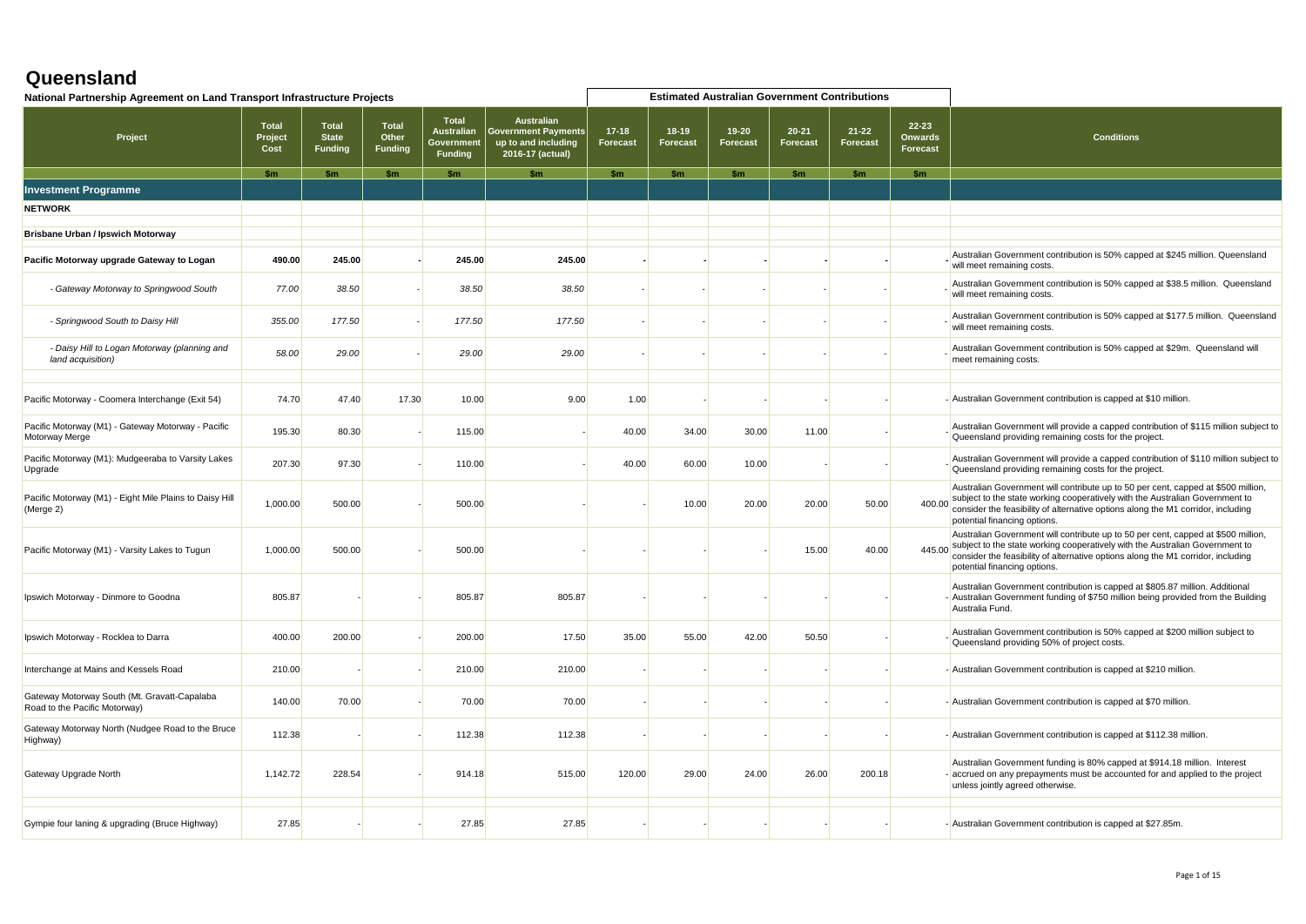| National Partnership Agreement on Land Transport Infrastructure Projects      |                                 |                                                |                                         |                                                                  |                                                                                            |                            |                            | <b>Estimated Australian Government Contributions</b> |                              |                       |                                                |                                                                                                                                                                                                                                                                                              |
|-------------------------------------------------------------------------------|---------------------------------|------------------------------------------------|-----------------------------------------|------------------------------------------------------------------|--------------------------------------------------------------------------------------------|----------------------------|----------------------------|------------------------------------------------------|------------------------------|-----------------------|------------------------------------------------|----------------------------------------------------------------------------------------------------------------------------------------------------------------------------------------------------------------------------------------------------------------------------------------------|
| Project                                                                       | <b>Total</b><br>Project<br>Cost | <b>Total</b><br><b>State</b><br><b>Funding</b> | <b>Total</b><br>Other<br><b>Funding</b> | <b>Total</b><br><b>Australian</b><br>Governmen<br><b>Funding</b> | <b>Australian</b><br><b>Sovernment Payments</b><br>up to and including<br>2016-17 (actual) | $17-18$<br><b>Forecast</b> | $18-19$<br><b>Forecast</b> | $19 - 20$<br><b>Forecast</b>                         | $20 - 21$<br><b>Forecast</b> | $21 - 22$<br>Forecast | $22 - 23$<br><b>Onwards</b><br><b>Forecast</b> | <b>Conditions</b>                                                                                                                                                                                                                                                                            |
|                                                                               | \$m                             | \$m                                            | \$m                                     | $\mathsf{sm}$                                                    | $\mathsf{sm}$                                                                              | \$m\$                      | \$m\$                      | $\mathsf{sm}$                                        | \$m\$                        | \$m\$                 | $\mathsf{sm}$                                  |                                                                                                                                                                                                                                                                                              |
| <b>Investment Programme</b>                                                   |                                 |                                                |                                         |                                                                  |                                                                                            |                            |                            |                                                      |                              |                       |                                                |                                                                                                                                                                                                                                                                                              |
| <b>NETWORK</b>                                                                |                                 |                                                |                                         |                                                                  |                                                                                            |                            |                            |                                                      |                              |                       |                                                |                                                                                                                                                                                                                                                                                              |
| <b>Brisbane Urban / Ipswich Motorway</b>                                      |                                 |                                                |                                         |                                                                  |                                                                                            |                            |                            |                                                      |                              |                       |                                                |                                                                                                                                                                                                                                                                                              |
| Pacific Motorway upgrade Gateway to Logan                                     | 490.00                          | 245.00                                         |                                         | 245.00                                                           | 245.00                                                                                     |                            |                            |                                                      |                              |                       |                                                | Australian Government contribution is 50% capped at \$245 million. Queensland<br>will meet remaining costs.                                                                                                                                                                                  |
| - Gateway Motorway to Springwood South                                        | 77.00                           | 38.50                                          |                                         | 38.50                                                            | 38.50                                                                                      |                            |                            |                                                      |                              |                       |                                                | Australian Government contribution is 50% capped at \$38.5 million. Queensland<br>will meet remaining costs.                                                                                                                                                                                 |
| - Springwood South to Daisy Hill                                              | 355.00                          | 177.50                                         |                                         | 177.50                                                           | 177.50                                                                                     |                            |                            |                                                      |                              |                       |                                                | Australian Government contribution is 50% capped at \$177.5 million. Queensland<br>will meet remaining costs.                                                                                                                                                                                |
| - Daisy Hill to Logan Motorway (planning and<br>land acquisition)             | 58.00                           | 29.00                                          |                                         | 29.00                                                            | 29.00                                                                                      |                            |                            |                                                      |                              |                       |                                                | Australian Government contribution is 50% capped at \$29m. Queensland will<br>meet remaining costs.                                                                                                                                                                                          |
| Pacific Motorway - Coomera Interchange (Exit 54)                              | 74.70                           | 47.40                                          | 17.30                                   | 10.00                                                            | 9.00                                                                                       | 1.00                       |                            |                                                      |                              |                       |                                                | - Australian Government contribution is capped at \$10 million.                                                                                                                                                                                                                              |
| Pacific Motorway (M1) - Gateway Motorway - Pacific<br>Motorway Merge          | 195.30                          | 80.30                                          |                                         | 115.00                                                           |                                                                                            | 40.00                      | 34.00                      | 30.00                                                | 11.00                        |                       |                                                | Australian Government will provide a capped contribution of \$115 million subject to<br>Queensland providing remaining costs for the project.                                                                                                                                                |
| Pacific Motorway (M1): Mudgeeraba to Varsity Lakes<br>Upgrade                 | 207.30                          | 97.30                                          |                                         | 110.00                                                           |                                                                                            | 40.00                      | 60.00                      | 10.00                                                |                              |                       |                                                | Australian Government will provide a capped contribution of \$110 million subject to<br>Queensland providing remaining costs for the project.                                                                                                                                                |
| Pacific Motorway (M1) - Eight Mile Plains to Daisy Hill<br>(Merge 2)          | 1,000.00                        | 500.00                                         |                                         | 500.00                                                           |                                                                                            |                            | 10.00                      | 20.00                                                | 20.00                        | 50.00                 |                                                | Australian Government will contribute up to 50 per cent, capped at \$500 million,<br>400.00 subject to the state working cooperatively with the Australian Government to<br>consider the feasibility of alternative options along the M1 corridor, including<br>potential financing options. |
| Pacific Motorway (M1) - Varsity Lakes to Tugun                                | 1,000.00                        | 500.00                                         |                                         | 500.00                                                           |                                                                                            |                            |                            |                                                      | 15.00                        | 40.00                 |                                                | Australian Government will contribute up to 50 per cent, capped at \$500 million,<br>445.00 subject to the state working cooperatively with the Australian Government to<br>consider the feasibility of alternative options along the M1 corridor, including<br>potential financing options. |
| Ipswich Motorway - Dinmore to Goodna                                          | 805.87                          |                                                |                                         | 805.87                                                           | 805.87                                                                                     |                            |                            |                                                      |                              |                       |                                                | Australian Government contribution is capped at \$805.87 million. Additional<br>- Australian Government funding of \$750 million being provided from the Building<br>Australia Fund.                                                                                                         |
| Ipswich Motorway - Rocklea to Darra                                           | 400.00                          | 200.00                                         |                                         | 200.00                                                           | 17.50                                                                                      | 35.00                      | 55.00                      | 42.00                                                | 50.50                        |                       |                                                | Australian Government contribution is 50% capped at \$200 million subject to<br>Queensland providing 50% of project costs.                                                                                                                                                                   |
| Interchange at Mains and Kessels Road                                         | 210.00                          |                                                |                                         | 210.00                                                           | 210.00                                                                                     |                            |                            |                                                      |                              |                       |                                                | - Australian Government contribution is capped at \$210 million.                                                                                                                                                                                                                             |
| Gateway Motorway South (Mt. Gravatt-Capalaba<br>Road to the Pacific Motorway) | 140.00                          | 70.00                                          |                                         | 70.00                                                            | 70.00                                                                                      |                            |                            |                                                      |                              |                       |                                                | - Australian Government contribution is capped at \$70 million.                                                                                                                                                                                                                              |
| Gateway Motorway North (Nudgee Road to the Bruce<br>Highway)                  | 112.38                          |                                                |                                         | 112.38                                                           | 112.38                                                                                     |                            |                            |                                                      |                              |                       |                                                | - Australian Government contribution is capped at \$112.38 million.                                                                                                                                                                                                                          |
| Gateway Upgrade North                                                         | 1,142.72                        | 228.54                                         |                                         | 914.18                                                           | 515.00                                                                                     | 120.00                     | 29.00                      | 24.00                                                | 26.00                        | 200.18                |                                                | Australian Government funding is 80% capped at \$914.18 million. Interest<br>accrued on any prepayments must be accounted for and applied to the project<br>unless jointly agreed otherwise.                                                                                                 |
| Gympie four laning & upgrading (Bruce Highway)                                | 27.85                           |                                                |                                         | 27.85                                                            | 27.85                                                                                      |                            |                            |                                                      |                              |                       |                                                | - Australian Government contribution is capped at \$27.85m.                                                                                                                                                                                                                                  |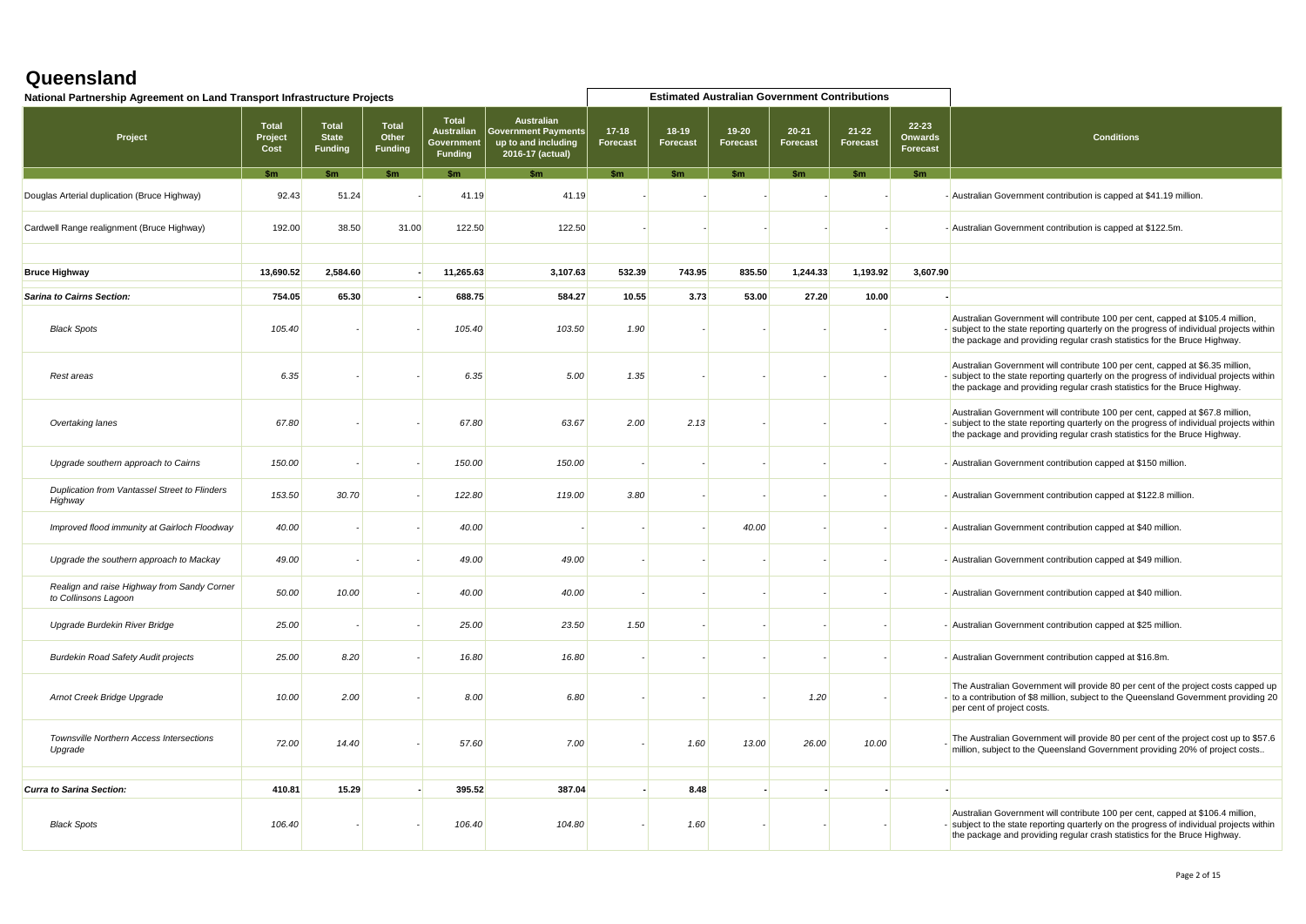| National Partnership Agreement on Land Transport Infrastructure Projects |                          |                                                |                                         |                                                            |                                                                                            |                            | <b>Estimated Australian Government Contributions</b> |                              |                              |                       |                                         |                                                                                                                                                                                                                                                         |
|--------------------------------------------------------------------------|--------------------------|------------------------------------------------|-----------------------------------------|------------------------------------------------------------|--------------------------------------------------------------------------------------------|----------------------------|------------------------------------------------------|------------------------------|------------------------------|-----------------------|-----------------------------------------|---------------------------------------------------------------------------------------------------------------------------------------------------------------------------------------------------------------------------------------------------------|
| Project                                                                  | Total<br>Project<br>Cost | <b>Total</b><br><b>State</b><br><b>Funding</b> | <b>Total</b><br>Other<br><b>Funding</b> | <b>Total</b><br><b>Australian</b><br>Government<br>Funding | <b>Australian</b><br><b>Sovernment Payments</b><br>up to and including<br>2016-17 (actual) | $17-18$<br><b>Forecast</b> | $18-19$<br><b>Forecast</b>                           | $19 - 20$<br><b>Forecast</b> | $20 - 21$<br><b>Forecast</b> | $21 - 22$<br>Forecast | $22 - 23$<br><b>Onwards</b><br>Forecast | <b>Conditions</b>                                                                                                                                                                                                                                       |
|                                                                          | $\mathbf{Sm}$            | \$m\$                                          |                                         | \$m                                                        |                                                                                            | \$m                        |                                                      |                              |                              |                       | $\mathbf{Sm}$                           |                                                                                                                                                                                                                                                         |
| Douglas Arterial duplication (Bruce Highway)                             | 92.43                    | 51.24                                          |                                         | 41.19                                                      | 41.19                                                                                      |                            |                                                      |                              |                              |                       |                                         | - Australian Government contribution is capped at \$41.19 million.                                                                                                                                                                                      |
| Cardwell Range realignment (Bruce Highway)                               | 192.00                   | 38.50                                          | 31.00                                   | 122.50                                                     | 122.50                                                                                     |                            |                                                      |                              |                              |                       |                                         | - Australian Government contribution is capped at \$122.5m.                                                                                                                                                                                             |
| <b>Bruce Highway</b>                                                     | 13,690.52                | 2,584.60                                       |                                         | 11,265.63                                                  | 3,107.63                                                                                   | 532.39                     | 743.95                                               | 835.50                       | 1,244.33                     | 1,193.92              | 3,607.90                                |                                                                                                                                                                                                                                                         |
|                                                                          |                          |                                                |                                         |                                                            |                                                                                            |                            |                                                      |                              |                              |                       |                                         |                                                                                                                                                                                                                                                         |
| <b>Sarina to Cairns Section:</b>                                         | 754.05                   | 65.30                                          |                                         | 688.75                                                     | 584.27                                                                                     | 10.55                      | 3.73                                                 | 53.00                        | 27.20                        | 10.00                 |                                         |                                                                                                                                                                                                                                                         |
| <b>Black Spots</b>                                                       | 105.40                   |                                                |                                         | 105.40                                                     | 103.50                                                                                     | 1.90                       |                                                      |                              |                              |                       |                                         | Australian Government will contribute 100 per cent, capped at \$105.4 million,<br>- subject to the state reporting quarterly on the progress of individual projects within<br>the package and providing regular crash statistics for the Bruce Highway. |
| Rest areas                                                               | 6.35                     |                                                |                                         | 6.35                                                       | 5.00                                                                                       | 1.35                       |                                                      |                              |                              |                       |                                         | Australian Government will contribute 100 per cent, capped at \$6.35 million,<br>- subject to the state reporting quarterly on the progress of individual projects within<br>the package and providing regular crash statistics for the Bruce Highway.  |
| Overtaking lanes                                                         | 67.80                    |                                                |                                         | 67.80                                                      | 63.67                                                                                      | 2.00                       | 2.13                                                 |                              |                              |                       |                                         | Australian Government will contribute 100 per cent, capped at \$67.8 million,<br>subject to the state reporting quarterly on the progress of individual projects within<br>the package and providing regular crash statistics for the Bruce Highway.    |
| Upgrade southern approach to Cairns                                      | 150.00                   |                                                |                                         | 150.00                                                     | 150.00                                                                                     |                            |                                                      |                              |                              |                       |                                         | - Australian Government contribution capped at \$150 million.                                                                                                                                                                                           |
| Duplication from Vantassel Street to Flinders<br>Highway                 | 153.50                   | 30.70                                          |                                         | 122.80                                                     | 119.00                                                                                     | 3.80                       |                                                      |                              |                              |                       |                                         | - Australian Government contribution capped at \$122.8 million.                                                                                                                                                                                         |
| Improved flood immunity at Gairloch Floodway                             | 40.00                    |                                                |                                         | 40.00                                                      |                                                                                            |                            |                                                      | 40.00                        |                              |                       |                                         | - Australian Government contribution capped at \$40 million.                                                                                                                                                                                            |
| Upgrade the southern approach to Mackay                                  | 49.00                    |                                                |                                         | 49.00                                                      | 49.00                                                                                      |                            |                                                      |                              |                              |                       |                                         | - Australian Government contribution capped at \$49 million.                                                                                                                                                                                            |
| Realign and raise Highway from Sandy Corner<br>to Collinsons Lagoon      | 50.00                    | 10.00                                          |                                         | 40.00                                                      | 40.00                                                                                      |                            |                                                      |                              |                              |                       |                                         | - Australian Government contribution capped at \$40 million.                                                                                                                                                                                            |
| Upgrade Burdekin River Bridge                                            | 25.00                    |                                                |                                         | 25.00                                                      | 23.50                                                                                      | 1.50                       |                                                      |                              |                              |                       |                                         | - Australian Government contribution capped at \$25 million.                                                                                                                                                                                            |
| <b>Burdekin Road Safety Audit projects</b>                               | 25.00                    | 8.20                                           |                                         | 16.80                                                      | 16.80                                                                                      |                            |                                                      |                              |                              |                       |                                         | - Australian Government contribution capped at \$16.8m.                                                                                                                                                                                                 |
| Arnot Creek Bridge Upgrade                                               | 10.00                    | 2.00                                           |                                         | 8.00                                                       | 6.80                                                                                       |                            |                                                      |                              | 1.20                         |                       |                                         | The Australian Government will provide 80 per cent of the project costs capped up<br>- to a contribution of \$8 million, subject to the Queensland Government providing 20<br>per cent of project costs.                                                |
| Townsville Northern Access Intersections<br>Upgrade                      | 72.00                    | 14.40                                          |                                         | 57.60                                                      | 7.00                                                                                       |                            | 1.60                                                 | 13.00                        | 26.00                        | 10.00                 |                                         | The Australian Government will provide 80 per cent of the project cost up to \$57.6<br>million, subject to the Queensland Government providing 20% of project costs                                                                                     |
|                                                                          |                          |                                                |                                         |                                                            |                                                                                            |                            |                                                      |                              |                              |                       |                                         |                                                                                                                                                                                                                                                         |
| <b>Curra to Sarina Section:</b>                                          | 410.81                   | 15.29                                          |                                         | 395.52                                                     | 387.04                                                                                     |                            | 8.48                                                 |                              |                              |                       |                                         |                                                                                                                                                                                                                                                         |
| <b>Black Spots</b>                                                       | 106.40                   |                                                |                                         | 106.40                                                     | 104.80                                                                                     |                            | 1.60                                                 |                              |                              |                       |                                         | Australian Government will contribute 100 per cent, capped at \$106.4 million,<br>- subject to the state reporting quarterly on the progress of individual projects within<br>the package and providing regular crash statistics for the Bruce Highway. |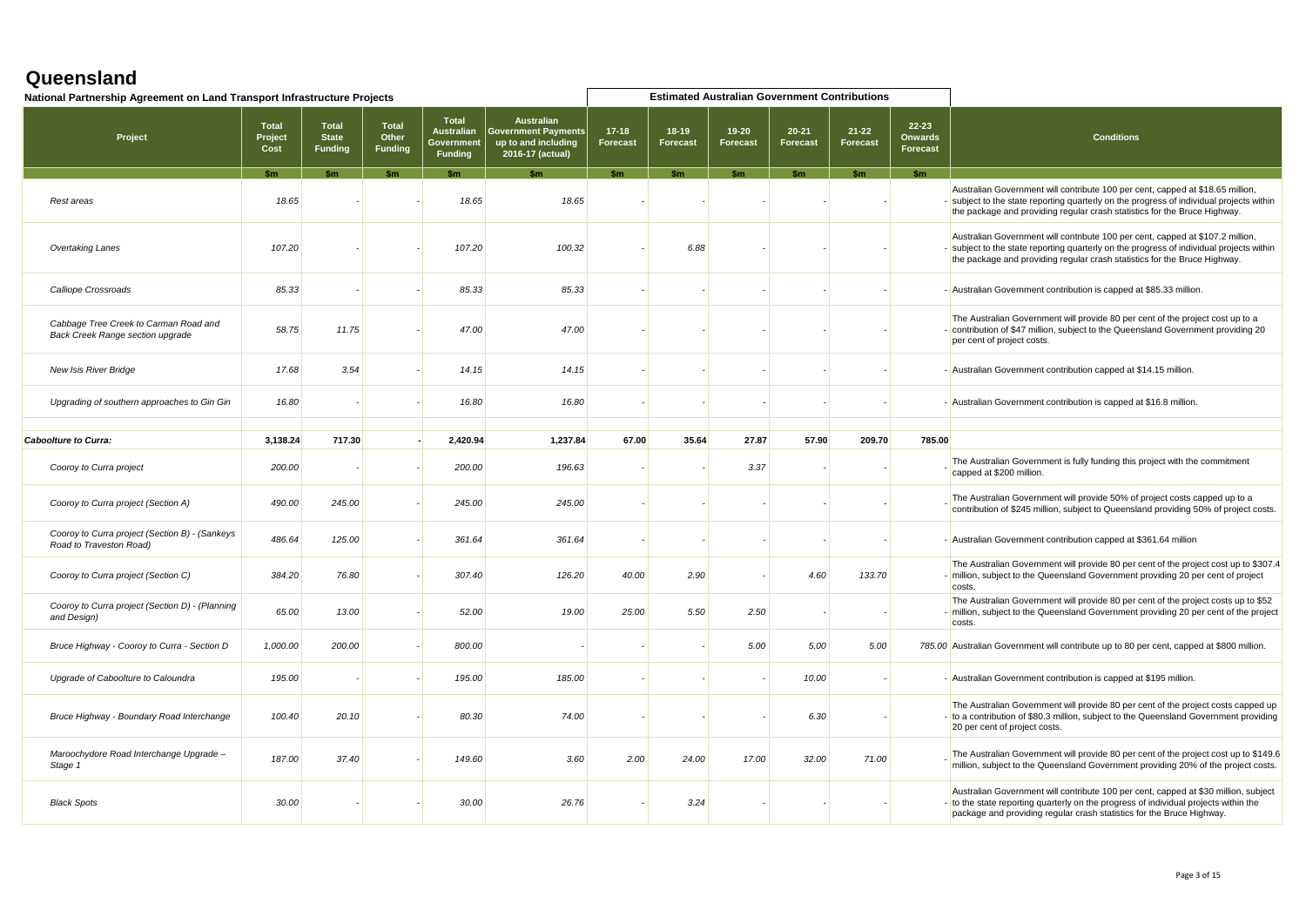| National Partnership Agreement on Land Transport Infrastructure Projects  |                                 |                                                |                                         |                                                                   |                                                                                            |                              |                          |                       | <b>Estimated Australian Government Contributions</b> |                       |                                                |                                                                                                                                                                                                                                                         |
|---------------------------------------------------------------------------|---------------------------------|------------------------------------------------|-----------------------------------------|-------------------------------------------------------------------|--------------------------------------------------------------------------------------------|------------------------------|--------------------------|-----------------------|------------------------------------------------------|-----------------------|------------------------------------------------|---------------------------------------------------------------------------------------------------------------------------------------------------------------------------------------------------------------------------------------------------------|
| Project                                                                   | <b>Total</b><br>Project<br>Cost | <b>Total</b><br><b>State</b><br><b>Funding</b> | <b>Total</b><br>Other<br><b>Funding</b> | <b>Total</b><br><b>Australian</b><br>Government<br><b>Funding</b> | <b>Australian</b><br><b>Government Payments</b><br>up to and including<br>2016-17 (actual) | $17 - 18$<br><b>Forecast</b> | 18-19<br><b>Forecast</b> | $19 - 20$<br>Forecast | $20 - 21$<br><b>Forecast</b>                         | $21 - 22$<br>Forecast | $22 - 23$<br><b>Onwards</b><br><b>Forecast</b> | <b>Conditions</b>                                                                                                                                                                                                                                       |
|                                                                           | \$m                             | S <sub>m</sub>                                 | \$m                                     | <b>Sm</b>                                                         | \$m                                                                                        | \$m                          | \$m                      | $\mathsf{sm}$         | \$m                                                  | \$m                   | \$m                                            |                                                                                                                                                                                                                                                         |
| Rest areas                                                                | 18.65                           |                                                |                                         | 18.65                                                             | 18.65                                                                                      |                              |                          |                       |                                                      |                       |                                                | Australian Government will contribute 100 per cent, capped at \$18.65 million,<br>- subject to the state reporting quarterly on the progress of individual projects within<br>the package and providing regular crash statistics for the Bruce Highway. |
| Overtaking Lanes                                                          | 107.20                          |                                                |                                         | 107.20                                                            | 100.32                                                                                     |                              | 6.88                     |                       |                                                      |                       |                                                | Australian Government will contribute 100 per cent, capped at \$107.2 million,<br>- subject to the state reporting quarterly on the progress of individual projects within<br>the package and providing regular crash statistics for the Bruce Highway. |
| Calliope Crossroads                                                       | 85.33                           |                                                |                                         | 85.33                                                             | 85.33                                                                                      |                              |                          |                       |                                                      |                       |                                                | - Australian Government contribution is capped at \$85.33 million.                                                                                                                                                                                      |
| Cabbage Tree Creek to Carman Road and<br>Back Creek Range section upgrade | 58.75                           | 11.75                                          |                                         | 47.00                                                             | 47.00                                                                                      |                              |                          |                       |                                                      |                       |                                                | The Australian Government will provide 80 per cent of the project cost up to a<br>contribution of \$47 million, subject to the Queensland Government providing 20<br>per cent of project costs.                                                         |
| <b>New Isis River Bridge</b>                                              | 17.68                           | 3.54                                           |                                         | 14.15                                                             | 14.15                                                                                      |                              |                          |                       |                                                      |                       |                                                | - Australian Government contribution capped at \$14.15 million.                                                                                                                                                                                         |
| Upgrading of southern approaches to Gin Gin                               | 16.80                           |                                                |                                         | 16.80                                                             | 16.80                                                                                      |                              |                          |                       |                                                      |                       |                                                | - Australian Government contribution is capped at \$16.8 million.                                                                                                                                                                                       |
|                                                                           |                                 |                                                |                                         |                                                                   |                                                                                            |                              |                          |                       |                                                      |                       |                                                |                                                                                                                                                                                                                                                         |
| Caboolture to Curra:                                                      | 3,138.24                        | 717.30                                         |                                         | 2,420.94                                                          | 1,237.84                                                                                   | 67.00                        | 35.64                    | 27.87                 | 57.90                                                | 209.70                | 785.00                                         |                                                                                                                                                                                                                                                         |
| Cooroy to Curra project                                                   | 200.00                          |                                                |                                         | 200.00                                                            | 196.63                                                                                     |                              |                          | 3.37                  |                                                      |                       |                                                | The Australian Government is fully funding this project with the commitment<br>capped at \$200 million.                                                                                                                                                 |
| Cooroy to Curra project (Section A)                                       | 490.00                          | 245.00                                         |                                         | 245.00                                                            | 245.00                                                                                     |                              |                          |                       |                                                      |                       |                                                | The Australian Government will provide 50% of project costs capped up to a<br>contribution of \$245 million, subject to Queensland providing 50% of project costs.                                                                                      |
| Cooroy to Curra project (Section B) - (Sankeys<br>Road to Traveston Road) | 486.64                          | 125.00                                         |                                         | 361.64                                                            | 361.64                                                                                     |                              |                          |                       |                                                      |                       |                                                | - Australian Government contribution capped at \$361.64 million                                                                                                                                                                                         |
| Cooroy to Curra project (Section C)                                       | 384.20                          | 76.80                                          |                                         | 307.40                                                            | 126.20                                                                                     | 40.00                        | 2.90                     |                       | 4.60                                                 | 133.70                |                                                | The Australian Government will provide 80 per cent of the project cost up to \$307.4<br>- million, subject to the Queensland Government providing 20 per cent of project<br>costs.                                                                      |
| Cooroy to Curra project (Section D) - (Planning<br>and Design)            | 65.00                           | 13.00                                          |                                         | 52.00                                                             | 19.00                                                                                      | 25.00                        | 5.50                     | 2.50                  |                                                      |                       |                                                | The Australian Government will provide 80 per cent of the project costs up to \$52<br>- million, subject to the Queensland Government providing 20 per cent of the project<br>costs.                                                                    |
| Bruce Highway - Cooroy to Curra - Section D                               | 1,000.00                        | 200.00                                         |                                         | 800.00                                                            |                                                                                            |                              |                          | 5.00                  | 5.00                                                 | 5.00                  |                                                | 785.00 Australian Government will contribute up to 80 per cent, capped at \$800 million.                                                                                                                                                                |
| Upgrade of Caboolture to Caloundra                                        | 195.00                          |                                                |                                         | 195.00                                                            | 185.00                                                                                     |                              |                          |                       | 10.00                                                |                       |                                                | - Australian Government contribution is capped at \$195 million.                                                                                                                                                                                        |
| Bruce Highway - Boundary Road Interchange                                 | 100.40                          | 20.10                                          |                                         | 80.30                                                             | 74.00                                                                                      |                              |                          |                       | 6.30                                                 |                       |                                                | The Australian Government will provide 80 per cent of the project costs capped up<br>- to a contribution of \$80.3 million, subject to the Queensland Government providing<br>20 per cent of project costs.                                             |
| Maroochydore Road Interchange Upgrade -<br>Stage 1                        | 187.00                          | 37.40                                          |                                         | 149.60                                                            | 3.60                                                                                       | 2.00                         | 24.00                    | 17.00                 | 32.00                                                | 71.00                 |                                                | The Australian Government will provide 80 per cent of the project cost up to \$149.6<br>million, subject to the Queensland Government providing 20% of the project costs.                                                                               |
| <b>Black Spots</b>                                                        | 30.00                           |                                                |                                         | 30.00                                                             | 26.76                                                                                      |                              | 3.24                     |                       |                                                      |                       |                                                | Australian Government will contribute 100 per cent, capped at \$30 million, subject<br>- to the state reporting quarterly on the progress of individual projects within the<br>package and providing regular crash statistics for the Bruce Highway.    |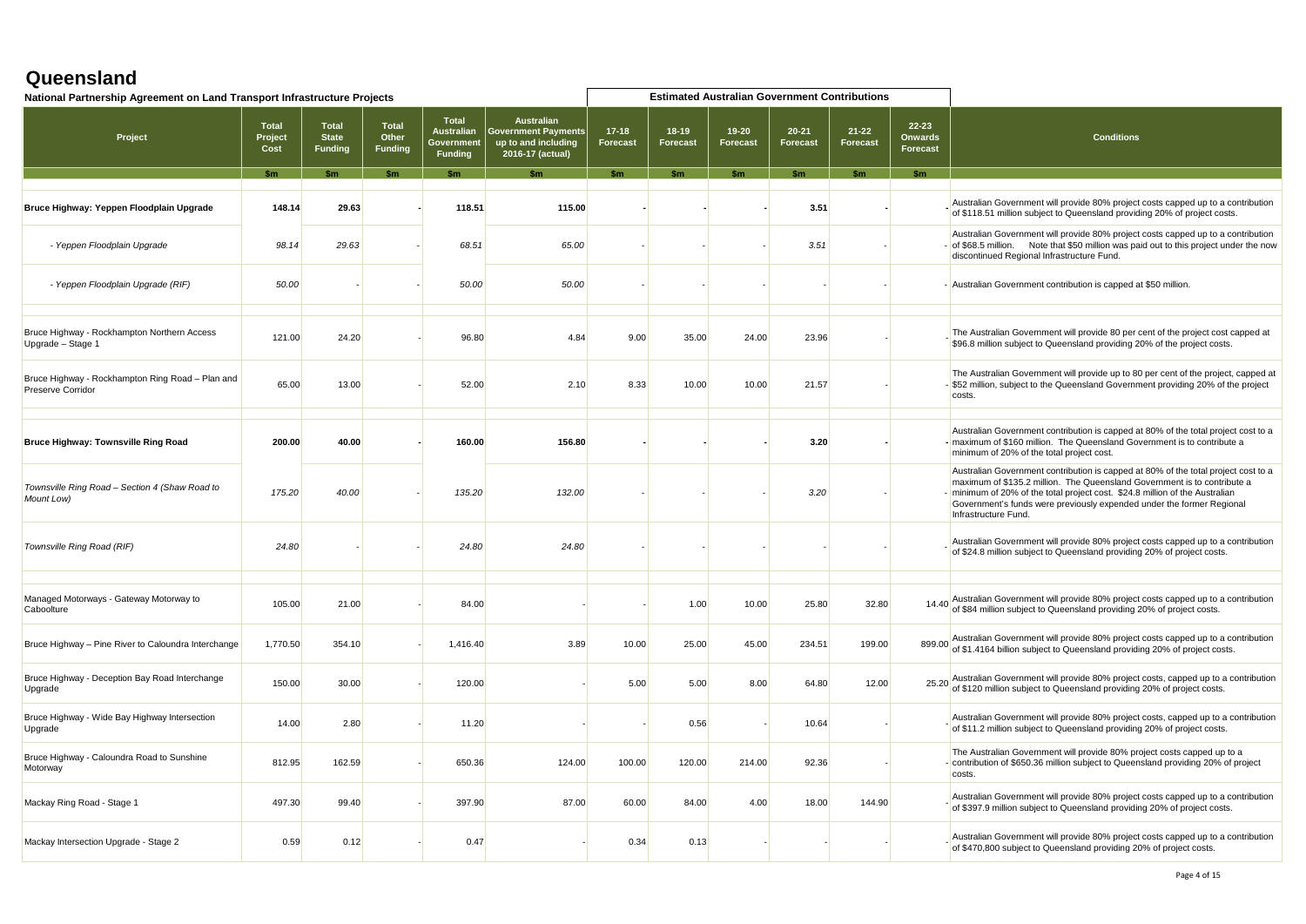| National Partnership Agreement on Land Transport Infrastructure Projects     |                                                | <b>Estimated Australian Government Contributions</b> |                                                                   |                                                                                     |                       |                   |                          |                              |                              |                                     |                   |                                                                                                                                                                                                                                                                                                                                                 |
|------------------------------------------------------------------------------|------------------------------------------------|------------------------------------------------------|-------------------------------------------------------------------|-------------------------------------------------------------------------------------|-----------------------|-------------------|--------------------------|------------------------------|------------------------------|-------------------------------------|-------------------|-------------------------------------------------------------------------------------------------------------------------------------------------------------------------------------------------------------------------------------------------------------------------------------------------------------------------------------------------|
| Project                                                                      | <b>Total</b><br><b>State</b><br><b>Funding</b> | Total<br>Other<br>Funding                            | <b>Total</b><br><b>Australian</b><br>Government<br><b>Funding</b> | <b>Australian</b><br>Government Payments<br>up to and including<br>2016-17 (actual) | $17 - 18$<br>Forecast | 18-19<br>Forecast | 19-20<br><b>Forecast</b> | $20 - 21$<br><b>Forecast</b> | $21 - 22$<br><b>Forecast</b> | 22-23<br><b>Onwards</b><br>Forecast | <b>Conditions</b> |                                                                                                                                                                                                                                                                                                                                                 |
|                                                                              | <b>Sm</b>                                      | \$m                                                  | $\mathsf{sm}$                                                     | \$m                                                                                 | \$m                   | \$m               | \$m                      | $\mathsf{sm}$                | \$m                          | $\mathsf{sm}$                       | <b>Sm</b>         |                                                                                                                                                                                                                                                                                                                                                 |
| Bruce Highway: Yeppen Floodplain Upgrade                                     | 148.14                                         | 29.63                                                |                                                                   | 118.51                                                                              | 115.00                |                   |                          |                              | 3.51                         |                                     |                   | Australian Government will provide 80% project costs capped up to a contribution<br>of \$118.51 million subject to Queensland providing 20% of project costs.                                                                                                                                                                                   |
| - Yeppen Floodplain Upgrade                                                  | 98.14                                          | 29.63                                                |                                                                   | 68.51                                                                               | 65.00                 |                   |                          |                              | 3.51                         |                                     |                   | Australian Government will provide 80% project costs capped up to a contribution<br>- of \$68.5 million. Note that \$50 million was paid out to this project under the now<br>discontinued Regional Infrastructure Fund.                                                                                                                        |
| - Yeppen Floodplain Upgrade (RIF)                                            | 50.00                                          |                                                      |                                                                   | 50.00                                                                               | 50.00                 |                   |                          |                              |                              |                                     |                   | - Australian Government contribution is capped at \$50 million.                                                                                                                                                                                                                                                                                 |
| Bruce Highway - Rockhampton Northern Access<br>Upgrade - Stage 1             | 121.00                                         | 24.20                                                |                                                                   | 96.80                                                                               | 4.84                  | 9.00              | 35.00                    | 24.00                        | 23.96                        |                                     |                   | The Australian Government will provide 80 per cent of the project cost capped at<br>\$96.8 million subject to Queensland providing 20% of the project costs.                                                                                                                                                                                    |
| Bruce Highway - Rockhampton Ring Road - Plan and<br><b>Preserve Corridor</b> | 65.00                                          | 13.00                                                |                                                                   | 52.00                                                                               | 2.10                  | 8.33              | 10.00                    | 10.00                        | 21.57                        |                                     |                   | The Australian Government will provide up to 80 per cent of the project, capped at<br>- \$52 million, subject to the Queensland Government providing 20% of the project<br>costs.                                                                                                                                                               |
| <b>Bruce Highway: Townsville Ring Road</b>                                   | 200.00                                         | 40.00                                                |                                                                   | 160.00                                                                              | 156.80                |                   |                          |                              | 3.20                         |                                     |                   | Australian Government contribution is capped at 80% of the total project cost to a<br>- maximum of \$160 million. The Queensland Government is to contribute a<br>minimum of 20% of the total project cost.                                                                                                                                     |
| Townsville Ring Road - Section 4 (Shaw Road to<br>Mount Low)                 | 175.20                                         | 40.00                                                |                                                                   | 135.20                                                                              | 132.00                |                   |                          |                              | 3.20                         |                                     |                   | Australian Government contribution is capped at 80% of the total project cost to a<br>maximum of \$135.2 million. The Queensland Government is to contribute a<br>- minimum of 20% of the total project cost. \$24.8 million of the Australian<br>Government's funds were previously expended under the former Regional<br>Infrastructure Fund. |
| Townsville Ring Road (RIF)                                                   | 24.80                                          |                                                      |                                                                   | 24.80                                                                               | 24.80                 |                   |                          |                              |                              |                                     |                   | Australian Government will provide 80% project costs capped up to a contribution<br>of \$24.8 million subject to Queensland providing 20% of project costs.                                                                                                                                                                                     |
| Managed Motorways - Gateway Motorway to<br>Caboolture                        | 105.00                                         | 21.00                                                |                                                                   | 84.00                                                                               |                       |                   | 1.00                     | 10.00                        | 25.80                        | 32.80                               |                   | 14.40 Australian Government will provide 80% project costs capped up to a contribution<br>of \$84 million subject to Queensland providing 20% of project costs.                                                                                                                                                                                 |
| Bruce Highway - Pine River to Caloundra Interchange                          | 1,770.50                                       | 354.10                                               |                                                                   | 1,416.40                                                                            | 3.89                  | 10.00             | 25.00                    | 45.00                        | 234.51                       | 199.00                              | 899.00            | Australian Government will provide 80% project costs capped up to a contribution<br>of \$1.4164 billion subject to Queensland providing 20% of project costs.                                                                                                                                                                                   |
| Bruce Highway - Deception Bay Road Interchange<br>Upgrade                    | 150.00                                         | 30.00                                                |                                                                   | 120.00                                                                              |                       | 5.00              | 5.00                     | 8.00                         | 64.80                        | 12.00                               | 25.20             | Australian Government will provide 80% project costs, capped up to a contribution<br>of \$120 million subject to Queensland providing 20% of project costs.                                                                                                                                                                                     |
| Bruce Highway - Wide Bay Highway Intersection<br>Upgrade                     | 14.00                                          | 2.80                                                 |                                                                   | 11.20                                                                               |                       |                   | 0.56                     |                              | 10.64                        |                                     |                   | Australian Government will provide 80% project costs, capped up to a contribution<br>of \$11.2 million subject to Queensland providing 20% of project costs.                                                                                                                                                                                    |
| Bruce Highway - Caloundra Road to Sunshine<br>Motorway                       | 812.95                                         | 162.59                                               |                                                                   | 650.36                                                                              | 124.00                | 100.00            | 120.00                   | 214.00                       | 92.36                        |                                     |                   | The Australian Government will provide 80% project costs capped up to a<br>- contribution of \$650.36 million subject to Queensland providing 20% of project<br>costs.                                                                                                                                                                          |
| Mackay Ring Road - Stage 1                                                   | 497.30                                         | 99.40                                                |                                                                   | 397.90                                                                              | 87.00                 | 60.00             | 84.00                    | 4.00                         | 18.00                        | 144.90                              |                   | Australian Government will provide 80% project costs capped up to a contribution<br>of \$397.9 million subject to Queensland providing 20% of project costs.                                                                                                                                                                                    |
| Mackay Intersection Upgrade - Stage 2                                        | 0.59                                           | 0.12                                                 |                                                                   | 0.47                                                                                |                       | 0.34              | 0.13                     |                              |                              |                                     |                   | Australian Government will provide 80% project costs capped up to a contribution<br>of \$470,800 subject to Queensland providing 20% of project costs.                                                                                                                                                                                          |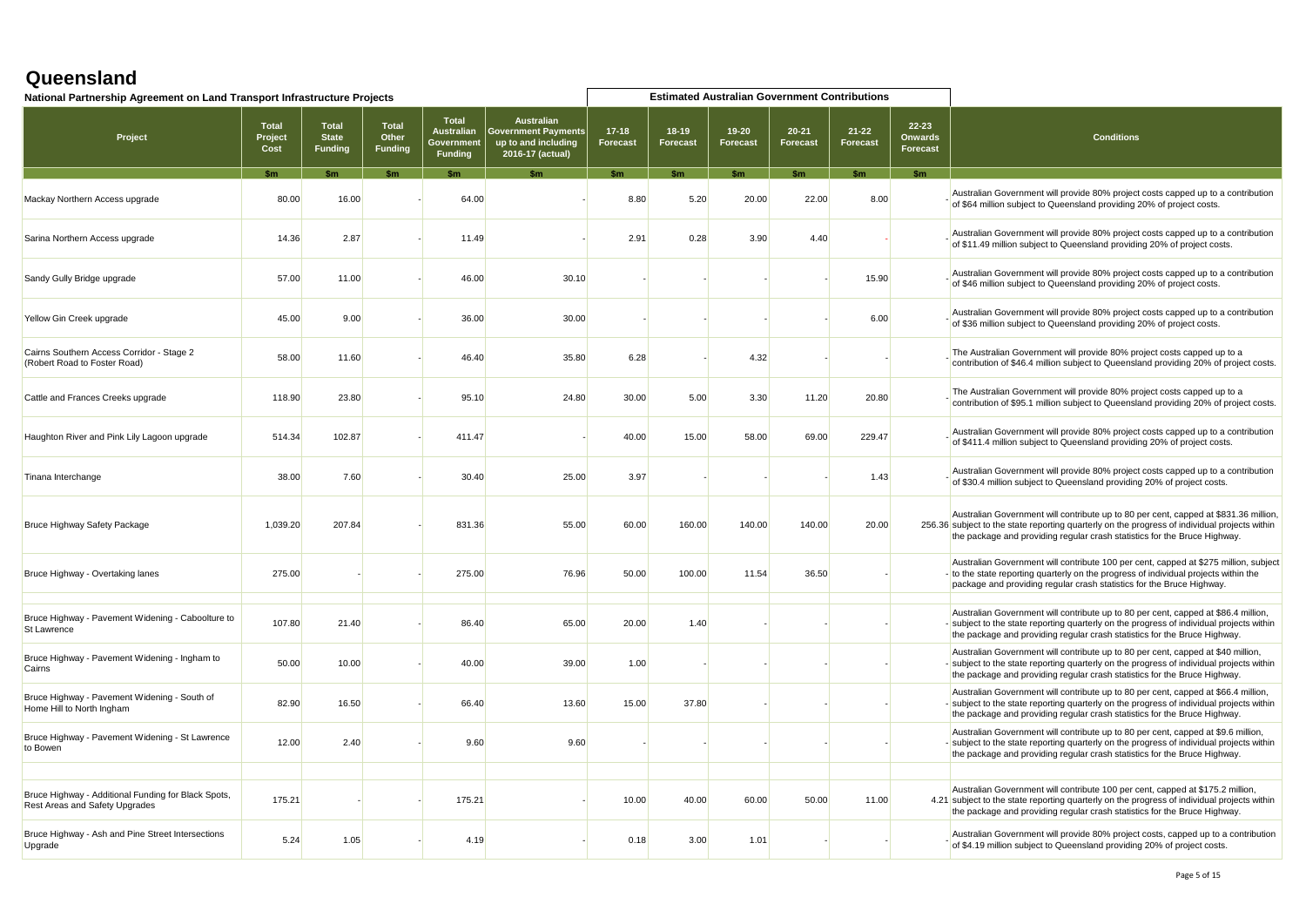| National Partnership Agreement on Land Transport Infrastructure Projects              |                                 |                                                |                                         |                                                                  |                                                                                            |                              |                            |                              | <b>Estimated Australian Government Contributions</b> |                              |                                     |                                                                                                                                                                                                                                                                    |
|---------------------------------------------------------------------------------------|---------------------------------|------------------------------------------------|-----------------------------------------|------------------------------------------------------------------|--------------------------------------------------------------------------------------------|------------------------------|----------------------------|------------------------------|------------------------------------------------------|------------------------------|-------------------------------------|--------------------------------------------------------------------------------------------------------------------------------------------------------------------------------------------------------------------------------------------------------------------|
| Project                                                                               | <b>Total</b><br>Project<br>Cost | <b>Total</b><br><b>State</b><br><b>Funding</b> | <b>Total</b><br>Other<br><b>Funding</b> | <b>Total</b><br><b>Australian</b><br>Governmen<br><b>Funding</b> | <b>Australian</b><br><b>Sovernment Payments</b><br>up to and including<br>2016-17 (actual) | $17 - 18$<br><b>Forecast</b> | $18-19$<br><b>Forecast</b> | $19 - 20$<br><b>Forecast</b> | $20 - 21$<br><b>Forecast</b>                         | $21 - 22$<br><b>Forecast</b> | 22-23<br>Onwards<br><b>Forecast</b> | <b>Conditions</b>                                                                                                                                                                                                                                                  |
|                                                                                       |                                 |                                                |                                         |                                                                  |                                                                                            |                              |                            |                              |                                                      |                              | \$m                                 |                                                                                                                                                                                                                                                                    |
| Mackay Northern Access upgrade                                                        | 80.00                           | 16.00                                          |                                         | 64.00                                                            |                                                                                            | 8.80                         | 5.20                       | 20.00                        | 22.00                                                | 8.00                         |                                     | Australian Government will provide 80% project costs capped up to a contribution<br>of \$64 million subject to Queensland providing 20% of project costs.                                                                                                          |
| Sarina Northern Access upgrade                                                        | 14.36                           | 2.87                                           |                                         | 11.49                                                            |                                                                                            | 2.91                         | 0.28                       | 3.90                         | 4.40                                                 |                              |                                     | Australian Government will provide 80% project costs capped up to a contribution<br>of \$11.49 million subject to Queensland providing 20% of project costs.                                                                                                       |
| Sandy Gully Bridge upgrade                                                            | 57.00                           | 11.00                                          |                                         | 46.00                                                            | 30.10                                                                                      |                              |                            |                              |                                                      | 15.90                        |                                     | Australian Government will provide 80% project costs capped up to a contribution<br>of \$46 million subject to Queensland providing 20% of project costs.                                                                                                          |
| Yellow Gin Creek upgrade                                                              | 45.00                           | 9.00                                           |                                         | 36.00                                                            | 30.00                                                                                      |                              |                            |                              |                                                      | 6.00                         |                                     | Australian Government will provide 80% project costs capped up to a contribution<br>of \$36 million subject to Queensland providing 20% of project costs.                                                                                                          |
| Cairns Southern Access Corridor - Stage 2<br>(Robert Road to Foster Road)             | 58.00                           | 11.60                                          |                                         | 46.40                                                            | 35.80                                                                                      | 6.28                         |                            | 4.32                         |                                                      |                              |                                     | The Australian Government will provide 80% project costs capped up to a<br>contribution of \$46.4 million subject to Queensland providing 20% of project costs.                                                                                                    |
| Cattle and Frances Creeks upgrade                                                     | 118.90                          | 23.80                                          |                                         | 95.10                                                            | 24.80                                                                                      | 30.00                        | 5.00                       | 3.30                         | 11.20                                                | 20.80                        |                                     | The Australian Government will provide 80% project costs capped up to a<br>contribution of \$95.1 million subject to Queensland providing 20% of project costs.                                                                                                    |
| Haughton River and Pink Lily Lagoon upgrade                                           | 514.34                          | 102.87                                         |                                         | 411.47                                                           |                                                                                            | 40.00                        | 15.00                      | 58.00                        | 69.00                                                | 229.47                       |                                     | Australian Government will provide 80% project costs capped up to a contribution<br>of \$411.4 million subject to Queensland providing 20% of project costs.                                                                                                       |
| Tinana Interchange                                                                    | 38.00                           | 7.60                                           |                                         | 30.40                                                            | 25.00                                                                                      | 3.97                         |                            |                              |                                                      | 1.43                         |                                     | Australian Government will provide 80% project costs capped up to a contribution<br>of \$30.4 million subject to Queensland providing 20% of project costs.                                                                                                        |
| Bruce Highway Safety Package                                                          | 1,039.20                        | 207.84                                         |                                         | 831.36                                                           | 55.00                                                                                      | 60.00                        | 160.00                     | 140.00                       | 140.00                                               | 20.00                        |                                     | Australian Government will contribute up to 80 per cent, capped at \$831.36 million.<br>256.36 subject to the state reporting quarterly on the progress of individual projects within<br>the package and providing regular crash statistics for the Bruce Highway. |
| Bruce Highway - Overtaking lanes                                                      | 275.00                          |                                                |                                         | 275.00                                                           | 76.96                                                                                      | 50.00                        | 100.00                     | 11.54                        | 36.50                                                |                              |                                     | Australian Government will contribute 100 per cent, capped at \$275 million, subject<br>- to the state reporting quarterly on the progress of individual projects within the<br>package and providing regular crash statistics for the Bruce Highway.              |
| Bruce Highway - Pavement Widening - Caboolture to<br>St Lawrence                      | 107.80                          | 21.40                                          |                                         | 86.40                                                            | 65.00                                                                                      | 20.00                        | 1.40                       |                              |                                                      |                              |                                     | Australian Government will contribute up to 80 per cent, capped at \$86.4 million,<br>- subject to the state reporting quarterly on the progress of individual projects within<br>the package and providing regular crash statistics for the Bruce Highway.        |
| Bruce Highway - Pavement Widening - Ingham to<br>Cairns                               | 50.00                           | 10.00                                          |                                         | 40.00                                                            | 39.00                                                                                      | 1.00                         |                            |                              |                                                      |                              |                                     | Australian Government will contribute up to 80 per cent, capped at \$40 million,<br>- subject to the state reporting quarterly on the progress of individual projects within<br>the package and providing regular crash statistics for the Bruce Highway.          |
| Bruce Highway - Pavement Widening - South of<br>Home Hill to North Ingham             | 82.90                           | 16.50                                          |                                         | 66.40                                                            | 13.60                                                                                      | 15.00                        | 37.80                      |                              |                                                      |                              |                                     | Australian Government will contribute up to 80 per cent, capped at \$66.4 million,<br>- subject to the state reporting quarterly on the progress of individual projects within<br>the package and providing regular crash statistics for the Bruce Highway.        |
| Bruce Highway - Pavement Widening - St Lawrence<br>to Bowen                           | 12.00                           | 2.40                                           |                                         | 9.60                                                             | 9.60                                                                                       |                              |                            |                              |                                                      |                              |                                     | Australian Government will contribute up to 80 per cent, capped at \$9.6 million,<br>- subject to the state reporting quarterly on the progress of individual projects within<br>the package and providing regular crash statistics for the Bruce Highway.         |
|                                                                                       |                                 |                                                |                                         |                                                                  |                                                                                            |                              |                            |                              |                                                      |                              |                                     |                                                                                                                                                                                                                                                                    |
| Bruce Highway - Additional Funding for Black Spots,<br>Rest Areas and Safety Upgrades | 175.21                          |                                                |                                         | 175.21                                                           |                                                                                            | 10.00                        | 40.00                      | 60.00                        | 50.00                                                | 11.00                        |                                     | Australian Government will contribute 100 per cent, capped at \$175.2 million,<br>4.21 subject to the state reporting quarterly on the progress of individual projects within<br>the package and providing regular crash statistics for the Bruce Highway.         |
| Bruce Highway - Ash and Pine Street Intersections<br>Upgrade                          | 5.24                            | 1.05                                           |                                         | 4.19                                                             |                                                                                            | 0.18                         | 3.00                       | 1.01                         |                                                      |                              |                                     | Australian Government will provide 80% project costs, capped up to a contribution<br>of \$4.19 million subject to Queensland providing 20% of project costs.                                                                                                       |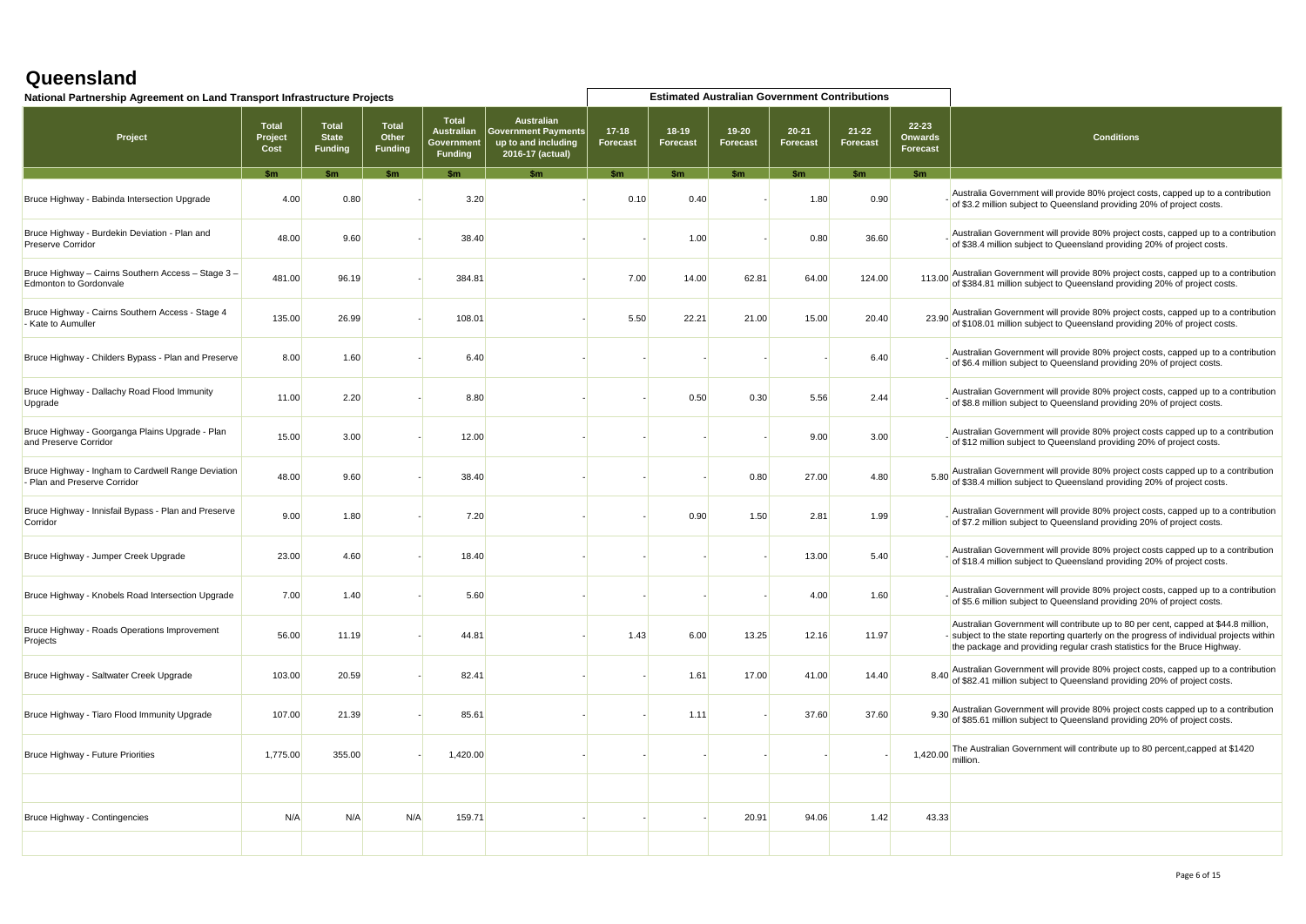| National Partnership Agreement on Land Transport Infrastructure Projects            |                                 |                                                |                                         |                                                                   |                                                                                       |                       |                            | <b>Estimated Australian Government Contributions</b> |                       |                       |                                         |                                                                                                                                                                                                                                                             |
|-------------------------------------------------------------------------------------|---------------------------------|------------------------------------------------|-----------------------------------------|-------------------------------------------------------------------|---------------------------------------------------------------------------------------|-----------------------|----------------------------|------------------------------------------------------|-----------------------|-----------------------|-----------------------------------------|-------------------------------------------------------------------------------------------------------------------------------------------------------------------------------------------------------------------------------------------------------------|
| Project                                                                             | <b>Total</b><br>Project<br>Cost | <b>Total</b><br><b>State</b><br><b>Funding</b> | <b>Total</b><br>Other<br><b>Funding</b> | <b>Total</b><br><b>Australian</b><br>Government<br><b>Funding</b> | <b>Australian</b><br>  Government Payments<br>up to and including<br>2016-17 (actual) | $17 - 18$<br>Forecast | $18-19$<br><b>Forecast</b> | 19-20<br>Forecast                                    | $20 - 21$<br>Forecast | $21 - 22$<br>Forecast | $22 - 23$<br><b>Onwards</b><br>Forecast | <b>Conditions</b>                                                                                                                                                                                                                                           |
|                                                                                     |                                 |                                                |                                         |                                                                   |                                                                                       |                       |                            | tm                                                   | $C_{\rm m}$           |                       | \$m                                     |                                                                                                                                                                                                                                                             |
| Bruce Highway - Babinda Intersection Upgrade                                        | 4.00                            | 0.80                                           |                                         | 3.20                                                              |                                                                                       | 0.10                  | 0.40                       |                                                      | 1.80                  | 0.90                  |                                         | Australia Government will provide 80% project costs, capped up to a contribution<br>of \$3.2 million subject to Queensland providing 20% of project costs.                                                                                                  |
| Bruce Highway - Burdekin Deviation - Plan and<br><b>Preserve Corridor</b>           | 48.00                           | 9.60                                           |                                         | 38.40                                                             |                                                                                       |                       | 1.00                       |                                                      | 0.80                  | 36.60                 |                                         | Australian Government will provide 80% project costs, capped up to a contribution<br>of \$38.4 million subject to Queensland providing 20% of project costs.                                                                                                |
| Bruce Highway - Cairns Southern Access - Stage 3 -<br><b>Edmonton to Gordonvale</b> | 481.00                          | 96.19                                          |                                         | 384.81                                                            |                                                                                       | 7.00                  | 14.00                      | 62.81                                                | 64.00                 | 124.00                |                                         | 113.00 Australian Government will provide 80% project costs, capped up to a contribution<br>of \$384.81 million subject to Queensland providing 20% of project costs.                                                                                       |
| Bruce Highway - Cairns Southern Access - Stage 4<br>Kate to Aumuller                | 135.00                          | 26.99                                          |                                         | 108.01                                                            |                                                                                       | 5.50                  | 22.21                      | 21.00                                                | 15.00                 | 20.40                 |                                         | 23.90 Australian Government will provide 80% project costs, capped up to a contribution<br>of \$108.01 million subject to Queensland providing 20% of project costs.                                                                                        |
| Bruce Highway - Childers Bypass - Plan and Preserve                                 | 8.00                            | 1.60                                           |                                         | 6.40                                                              |                                                                                       |                       |                            |                                                      |                       | 6.40                  |                                         | Australian Government will provide 80% project costs, capped up to a contribution<br>of \$6.4 million subject to Queensland providing 20% of project costs.                                                                                                 |
| Bruce Highway - Dallachy Road Flood Immunity<br>Upgrade                             | 11.00                           | 2.20                                           |                                         | 8.80                                                              |                                                                                       |                       | 0.50                       | 0.30                                                 | 5.56                  | 2.44                  |                                         | Australian Government will provide 80% project costs, capped up to a contribution<br>of \$8.8 million subject to Queensland providing 20% of project costs.                                                                                                 |
| Bruce Highway - Goorganga Plains Upgrade - Plan<br>and Preserve Corridor            | 15.00                           | 3.00                                           |                                         | 12.00                                                             |                                                                                       |                       |                            |                                                      | 9.00                  | 3.00                  |                                         | Australian Government will provide 80% project costs capped up to a contribution<br>of \$12 million subject to Queensland providing 20% of project costs.                                                                                                   |
| Bruce Highway - Ingham to Cardwell Range Deviation<br>- Plan and Preserve Corridor  | 48.00                           | 9.60                                           |                                         | 38.40                                                             |                                                                                       |                       |                            | 0.80                                                 | 27.00                 | 4.80                  |                                         | 5.80 Australian Government will provide 80% project costs capped up to a contribution<br>of \$38.4 million subject to Queensland providing 20% of project costs.                                                                                            |
| Bruce Highway - Innisfail Bypass - Plan and Preserve<br>Corridor                    | 9.00                            | 1.80                                           |                                         | 7.20                                                              |                                                                                       |                       | 0.90                       | 1.50                                                 | 2.81                  | 1.99                  |                                         | Australian Government will provide 80% project costs, capped up to a contribution<br>of \$7.2 million subject to Queensland providing 20% of project costs.                                                                                                 |
| Bruce Highway - Jumper Creek Upgrade                                                | 23.00                           | 4.60                                           |                                         | 18.40                                                             |                                                                                       |                       |                            |                                                      | 13.00                 | 5.40                  |                                         | Australian Government will provide 80% project costs capped up to a contribution<br>of \$18.4 million subject to Queensland providing 20% of project costs.                                                                                                 |
| Bruce Highway - Knobels Road Intersection Upgrade                                   | 7.00                            | 1.40                                           |                                         | 5.60                                                              |                                                                                       |                       |                            |                                                      | 4.00                  | 1.60                  |                                         | Australian Government will provide 80% project costs, capped up to a contribution<br>of \$5.6 million subject to Queensland providing 20% of project costs.                                                                                                 |
| Bruce Highway - Roads Operations Improvement<br>Projects                            | 56.00                           | 11.19                                          |                                         | 44.81                                                             |                                                                                       | 1.43                  | 6.00                       | 13.25                                                | 12.16                 | 11.97                 |                                         | Australian Government will contribute up to 80 per cent, capped at \$44.8 million,<br>- subject to the state reporting quarterly on the progress of individual projects within<br>the package and providing regular crash statistics for the Bruce Highway. |
| Bruce Highway - Saltwater Creek Upgrade                                             | 103.00                          | 20.59                                          |                                         | 82.41                                                             |                                                                                       |                       | 1.61                       | 17.00                                                | 41.00                 | 14.40                 |                                         | 8.40 Australian Government will provide 80% project costs, capped up to a contribution<br>of \$82.41 million subject to Queensland providing 20% of project costs.                                                                                          |
| Bruce Highway - Tiaro Flood Immunity Upgrade                                        | 107.00                          | 21.39                                          |                                         | 85.61                                                             |                                                                                       |                       | 1.11                       |                                                      | 37.60                 | 37.60                 | 9.30                                    | Australian Government will provide 80% project costs capped up to a contribution<br>of \$85.61 million subject to Queensland providing 20% of project costs.                                                                                                |
| Bruce Highway - Future Priorities                                                   | 1,775.00                        | 355.00                                         |                                         | 1,420.00                                                          |                                                                                       |                       |                            |                                                      |                       |                       | 1,420.00                                | The Australian Government will contribute up to 80 percent, capped at \$1420<br>million.                                                                                                                                                                    |
|                                                                                     |                                 |                                                |                                         |                                                                   |                                                                                       |                       |                            |                                                      |                       |                       |                                         |                                                                                                                                                                                                                                                             |
| Bruce Highway - Contingencies                                                       | N/A                             | N/A                                            | N/A                                     | 159.71                                                            |                                                                                       |                       |                            | 20.91                                                | 94.06                 | 1.42                  | 43.33                                   |                                                                                                                                                                                                                                                             |
|                                                                                     |                                 |                                                |                                         |                                                                   |                                                                                       |                       |                            |                                                      |                       |                       |                                         |                                                                                                                                                                                                                                                             |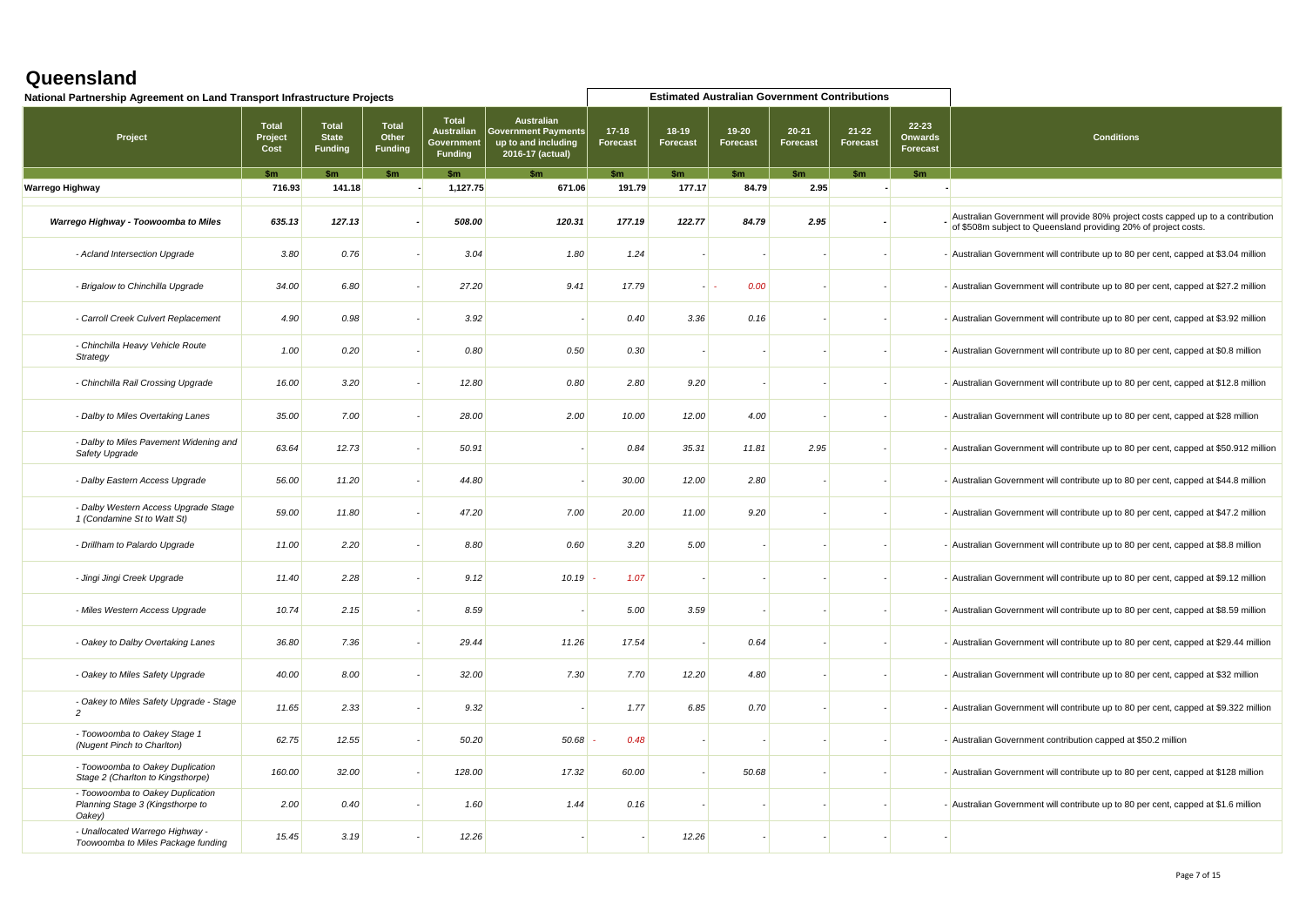| National Partnership Agreement on Land Transport Infrastructure Projects       |                                 |                                         |                                  |                                                                   |                                                                                            |                       |                              | <b>Estimated Australian Government Contributions</b> |                              |                              |                                     |                                                                                                                                                     |
|--------------------------------------------------------------------------------|---------------------------------|-----------------------------------------|----------------------------------|-------------------------------------------------------------------|--------------------------------------------------------------------------------------------|-----------------------|------------------------------|------------------------------------------------------|------------------------------|------------------------------|-------------------------------------|-----------------------------------------------------------------------------------------------------------------------------------------------------|
| Project                                                                        | <b>Total</b><br>Project<br>Cost | Total<br><b>State</b><br><b>Funding</b> | Total<br>Other<br><b>Funding</b> | <b>Total</b><br><b>Australian</b><br>Government<br><b>Funding</b> | <b>Australian</b><br><b>Government Payments</b><br>up to and including<br>2016-17 (actual) | $17 - 18$<br>Forecast | $18 - 19$<br><b>Forecast</b> | $19 - 20$<br>Forecast                                | $20 - 21$<br><b>Forecast</b> | $21 - 22$<br><b>Forecast</b> | 22-23<br><b>Onwards</b><br>Forecast | <b>Conditions</b>                                                                                                                                   |
|                                                                                | $\mathbf{Sm}$                   |                                         | $\mathbf{\$m}$                   | \$m\$                                                             | \$m                                                                                        | \$m                   | \$m                          | \$m                                                  | \$m                          | \$m                          | \$m                                 |                                                                                                                                                     |
| Warrego Highway                                                                | 716.93                          | 141.18                                  |                                  | 1,127.75                                                          | 671.06                                                                                     | 191.79                | 177.17                       | 84.79                                                | 2.95                         |                              |                                     |                                                                                                                                                     |
| Warrego Highway - Toowoomba to Miles                                           | 635.13                          | 127.13                                  |                                  | 508.00                                                            | 120.31                                                                                     | 177.19                | 122.77                       | 84.79                                                | 2.95                         |                              |                                     | Australian Government will provide 80% project costs capped up to a contribution<br>of \$508m subject to Queensland providing 20% of project costs. |
| - Acland Intersection Upgrade                                                  | 3.80                            | 0.76                                    |                                  | 3.04                                                              | 1.80                                                                                       | 1.24                  |                              |                                                      |                              |                              |                                     | - Australian Government will contribute up to 80 per cent, capped at \$3.04 million                                                                 |
| - Brigalow to Chinchilla Upgrade                                               | 34.00                           | 6.80                                    |                                  | 27.20                                                             | 9.41                                                                                       | 17.79                 |                              | 0.00                                                 |                              |                              |                                     | - Australian Government will contribute up to 80 per cent, capped at \$27.2 million                                                                 |
| - Carroll Creek Culvert Replacement                                            | 4.90                            | 0.98                                    |                                  | 3.92                                                              |                                                                                            | 0.40                  | 3.36                         | 0.16                                                 |                              |                              |                                     | - Australian Government will contribute up to 80 per cent, capped at \$3.92 million                                                                 |
| - Chinchilla Heavy Vehicle Route<br>Strategy                                   | 1.00                            | 0.20                                    |                                  | 0.80                                                              | 0.50                                                                                       | 0.30                  |                              |                                                      |                              |                              |                                     | - Australian Government will contribute up to 80 per cent, capped at \$0.8 million                                                                  |
| - Chinchilla Rail Crossing Upgrade                                             | 16.00                           | 3.20                                    |                                  | 12.80                                                             | 0.80                                                                                       | 2.80                  | 9.20                         |                                                      |                              |                              |                                     | - Australian Government will contribute up to 80 per cent, capped at \$12.8 million                                                                 |
| - Dalby to Miles Overtaking Lanes                                              | 35.00                           | 7.00                                    |                                  | 28.00                                                             | 2.00                                                                                       | 10.00                 | 12.00                        | 4.00                                                 |                              |                              |                                     | - Australian Government will contribute up to 80 per cent, capped at \$28 million                                                                   |
| - Dalby to Miles Pavement Widening and<br>Safety Upgrade                       | 63.64                           | 12.73                                   |                                  | 50.91                                                             |                                                                                            | 0.84                  | 35.31                        | 11.81                                                | 2.95                         |                              |                                     | - Australian Government will contribute up to 80 per cent, capped at \$50.912 million                                                               |
| - Dalby Eastern Access Upgrade                                                 | 56.00                           | 11.20                                   |                                  | 44.80                                                             |                                                                                            | 30.00                 | 12.00                        | 2.80                                                 |                              |                              |                                     | - Australian Government will contribute up to 80 per cent, capped at \$44.8 million                                                                 |
| - Dalby Western Access Upgrade Stage<br>1 (Condamine St to Watt St)            | 59.00                           | 11.80                                   |                                  | 47.20                                                             | 7.00                                                                                       | 20.00                 | 11.00                        | 9.20                                                 |                              |                              |                                     | - Australian Government will contribute up to 80 per cent, capped at \$47.2 million                                                                 |
| - Drillham to Palardo Upgrade                                                  | 11.00                           | 2.20                                    |                                  | 8.80                                                              | 0.60                                                                                       | 3.20                  | 5.00                         |                                                      |                              |                              |                                     | - Australian Government will contribute up to 80 per cent, capped at \$8.8 million                                                                  |
| - Jingi Jingi Creek Upgrade                                                    | 11.40                           | 2.28                                    |                                  | 9.12                                                              | 10.19                                                                                      | 1.07                  |                              |                                                      |                              |                              |                                     | - Australian Government will contribute up to 80 per cent, capped at \$9.12 million                                                                 |
| - Miles Western Access Upgrade                                                 | 10.74                           | 2.15                                    |                                  | 8.59                                                              |                                                                                            | 5.00                  | 3.59                         |                                                      |                              |                              |                                     | - Australian Government will contribute up to 80 per cent, capped at \$8.59 million                                                                 |
| - Oakey to Dalby Overtaking Lanes                                              | 36.80                           | 7.36                                    |                                  | 29.44                                                             | 11.26                                                                                      | 17.54                 |                              | 0.64                                                 |                              |                              |                                     | - Australian Government will contribute up to 80 per cent, capped at \$29.44 million                                                                |
| - Oakey to Miles Safety Upgrade                                                | 40.00                           | 8.00                                    |                                  | 32.00                                                             | 7.30                                                                                       | 7.70                  | 12.20                        | 4.80                                                 |                              |                              |                                     | - Australian Government will contribute up to 80 per cent, capped at \$32 million                                                                   |
| - Oakey to Miles Safety Upgrade - Stage<br>$\overline{c}$                      | 11.65                           | 2.33                                    |                                  | 9.32                                                              |                                                                                            | 1.77                  | 6.85                         | 0.70                                                 |                              |                              |                                     | - Australian Government will contribute up to 80 per cent, capped at \$9.322 million                                                                |
| - Toowoomba to Oakey Stage 1<br>(Nugent Pinch to Charlton)                     | 62.75                           | 12.55                                   |                                  | 50.20                                                             | 50.68                                                                                      | 0.48                  |                              |                                                      |                              |                              |                                     | - Australian Government contribution capped at \$50.2 million                                                                                       |
| - Toowoomba to Oakey Duplication<br>Stage 2 (Charlton to Kingsthorpe)          | 160.00                          | 32.00                                   |                                  | 128.00                                                            | 17.32                                                                                      | 60.00                 |                              | 50.68                                                |                              |                              |                                     | - Australian Government will contribute up to 80 per cent, capped at \$128 million                                                                  |
| - Toowoomba to Oakey Duplication<br>Planning Stage 3 (Kingsthorpe to<br>Oakey) | 2.00                            | 0.40                                    |                                  | 1.60                                                              | 1.44                                                                                       | 0.16                  |                              |                                                      |                              |                              |                                     | - Australian Government will contribute up to 80 per cent, capped at \$1.6 million                                                                  |
| - Unallocated Warrego Highway -<br>Toowoomba to Miles Package funding          | 15.45                           | 3.19                                    |                                  | 12.26                                                             |                                                                                            |                       | 12.26                        |                                                      |                              |                              |                                     |                                                                                                                                                     |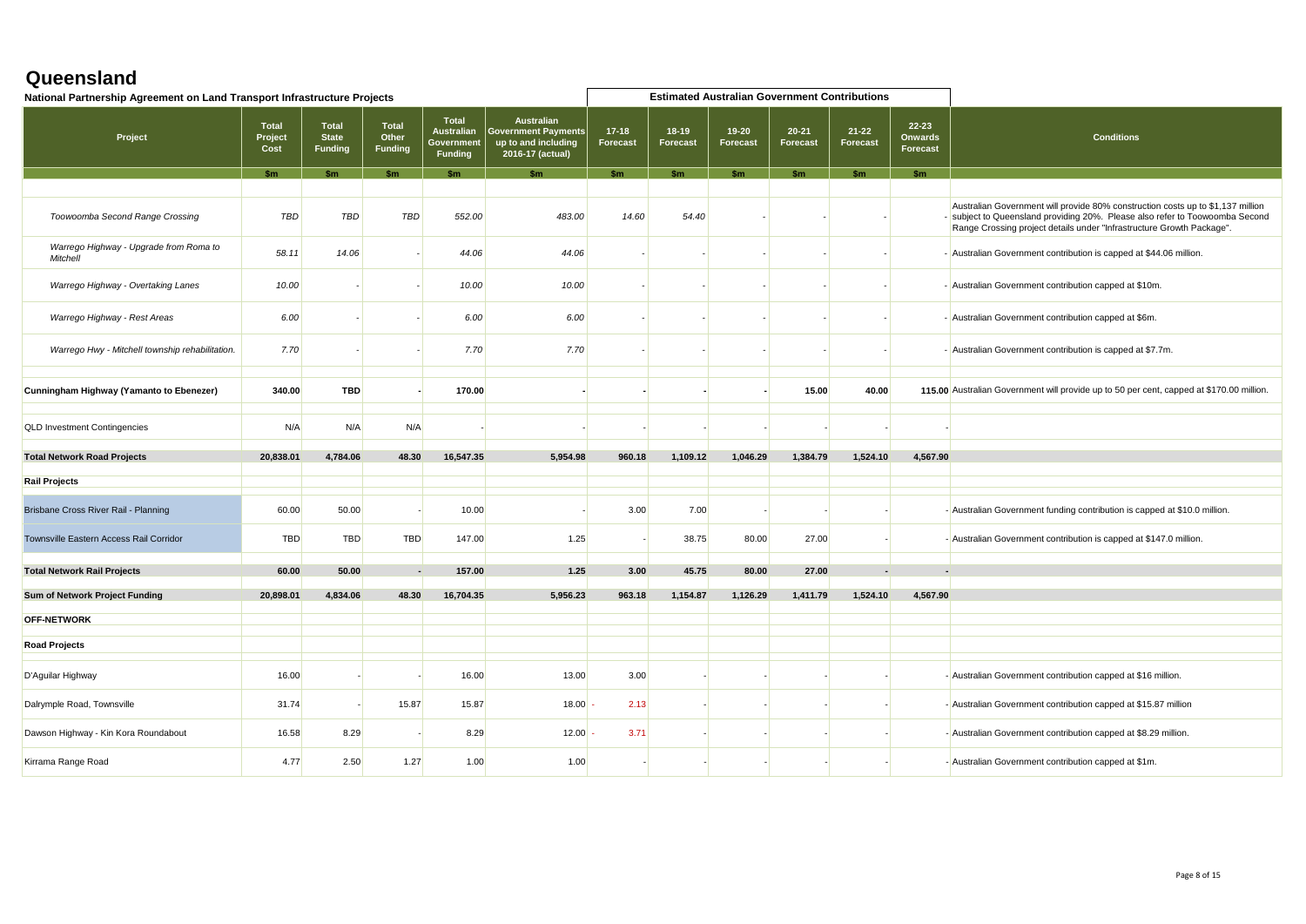| National Partnership Agreement on Land Transport Infrastructure Projects |                                 |                                                |                                         |                                                                   |                                                                                            |                            |                              | <b>Estimated Australian Government Contributions</b> |                              |                              |                                         |                                                                                                                                                                                                                                          |
|--------------------------------------------------------------------------|---------------------------------|------------------------------------------------|-----------------------------------------|-------------------------------------------------------------------|--------------------------------------------------------------------------------------------|----------------------------|------------------------------|------------------------------------------------------|------------------------------|------------------------------|-----------------------------------------|------------------------------------------------------------------------------------------------------------------------------------------------------------------------------------------------------------------------------------------|
| Project                                                                  | <b>Total</b><br>Project<br>Cost | <b>Total</b><br><b>State</b><br><b>Funding</b> | <b>Total</b><br>Other<br><b>Funding</b> | <b>Total</b><br><b>Australian</b><br>Government<br><b>Funding</b> | <b>Australian</b><br><b>Government Payments</b><br>up to and including<br>2016-17 (actual) | $17-18$<br><b>Forecast</b> | $18 - 19$<br><b>Forecast</b> | $19 - 20$<br><b>Forecast</b>                         | $20 - 21$<br><b>Forecast</b> | $21 - 22$<br><b>Forecast</b> | $22 - 23$<br><b>Onwards</b><br>Forecast | <b>Conditions</b>                                                                                                                                                                                                                        |
|                                                                          | <b>Sm</b>                       | \$m                                            | \$m                                     | <b>Sm</b>                                                         | \$m                                                                                        | \$m                        | \$m\$                        | \$m                                                  | \$m                          | Sm                           | <b>Sm</b>                               |                                                                                                                                                                                                                                          |
| Toowoomba Second Range Crossing                                          | <b>TBD</b>                      | TBD                                            | <b>TBD</b>                              | 552.00                                                            | 483.00                                                                                     | 14.60                      | 54.40                        |                                                      |                              |                              |                                         | Australian Government will provide 80% construction costs up to \$1,137 million<br>- subject to Queensland providing 20%. Please also refer to Toowoomba Second<br>Range Crossing project details under "Infrastructure Growth Package". |
| Warrego Highway - Upgrade from Roma to<br>Mitchell                       | 58.11                           | 14.06                                          |                                         | 44.06                                                             | 44.06                                                                                      |                            |                              |                                                      |                              |                              |                                         | - Australian Government contribution is capped at \$44.06 million.                                                                                                                                                                       |
| Warrego Highway - Overtaking Lanes                                       | 10.00                           |                                                |                                         | 10.00                                                             | 10.00                                                                                      |                            |                              |                                                      |                              |                              |                                         | - Australian Government contribution capped at \$10m.                                                                                                                                                                                    |
| Warrego Highway - Rest Areas                                             | 6.00                            |                                                |                                         | 6.00                                                              | 6.00                                                                                       |                            |                              |                                                      |                              |                              |                                         | - Australian Government contribution capped at \$6m.                                                                                                                                                                                     |
| Warrego Hwy - Mitchell township rehabilitation.                          | 7.70                            |                                                |                                         | 7.70                                                              | 7.70                                                                                       |                            |                              |                                                      |                              |                              |                                         | - Australian Government contribution is capped at \$7.7m.                                                                                                                                                                                |
| Cunningham Highway (Yamanto to Ebenezer)                                 | 340.00                          | <b>TBD</b>                                     |                                         | 170.00                                                            |                                                                                            |                            |                              |                                                      | 15.00                        | 40.00                        |                                         | 115.00 Australian Government will provide up to 50 per cent, capped at \$170.00 million.                                                                                                                                                 |
| <b>QLD Investment Contingencies</b>                                      | N/A                             | N/A                                            | N/A                                     |                                                                   |                                                                                            |                            |                              |                                                      |                              |                              |                                         |                                                                                                                                                                                                                                          |
| <b>Total Network Road Projects</b>                                       | 20,838.01                       | 4.784.06                                       | 48.30                                   | 16.547.35                                                         | 5.954.98                                                                                   | 960.18                     | 1,109.12                     | 1.046.29                                             | 1,384.79                     | 1,524.10                     | 4.567.90                                |                                                                                                                                                                                                                                          |
| <b>Rail Projects</b>                                                     |                                 |                                                |                                         |                                                                   |                                                                                            |                            |                              |                                                      |                              |                              |                                         |                                                                                                                                                                                                                                          |
|                                                                          |                                 |                                                |                                         |                                                                   |                                                                                            |                            |                              |                                                      |                              |                              |                                         |                                                                                                                                                                                                                                          |
| Brisbane Cross River Rail - Planning                                     | 60.00                           | 50.00                                          |                                         | 10.00                                                             |                                                                                            | 3.00                       | 7.00                         |                                                      |                              |                              |                                         | - Australian Government funding contribution is capped at \$10.0 million.                                                                                                                                                                |
| Townsville Eastern Access Rail Corridor                                  | <b>TBD</b>                      | <b>TBD</b>                                     | <b>TBD</b>                              | 147.00                                                            | 1.25                                                                                       |                            | 38.75                        | 80.00                                                | 27.00                        |                              |                                         | - Australian Government contribution is capped at \$147.0 million.                                                                                                                                                                       |
| <b>Total Network Rail Projects</b>                                       | 60.00                           | 50.00                                          |                                         | 157.00                                                            | 1.25                                                                                       | 3.00                       | 45.75                        | 80.00                                                | 27.00                        |                              |                                         |                                                                                                                                                                                                                                          |
| Sum of Network Project Funding                                           | 20,898.01                       | 4.834.06                                       | 48.30                                   | 16,704.35                                                         | 5,956.23                                                                                   | 963.18                     | 1,154.87                     | 1,126.29                                             | 1,411.79                     | 1,524.10                     | 4,567.90                                |                                                                                                                                                                                                                                          |
|                                                                          |                                 |                                                |                                         |                                                                   |                                                                                            |                            |                              |                                                      |                              |                              |                                         |                                                                                                                                                                                                                                          |
| <b>OFF-NETWORK</b>                                                       |                                 |                                                |                                         |                                                                   |                                                                                            |                            |                              |                                                      |                              |                              |                                         |                                                                                                                                                                                                                                          |
| <b>Road Projects</b>                                                     |                                 |                                                |                                         |                                                                   |                                                                                            |                            |                              |                                                      |                              |                              |                                         |                                                                                                                                                                                                                                          |
|                                                                          |                                 |                                                |                                         |                                                                   |                                                                                            |                            |                              |                                                      |                              |                              |                                         |                                                                                                                                                                                                                                          |
| D'Aguilar Highway                                                        | 16.00                           |                                                |                                         | 16.00                                                             | 13.00                                                                                      | 3.00                       |                              |                                                      |                              |                              |                                         | - Australian Government contribution capped at \$16 million.                                                                                                                                                                             |
| Dalrymple Road, Townsville                                               | 31.74                           |                                                | 15.87                                   | 15.87                                                             | 18.00                                                                                      | 2.13                       |                              |                                                      |                              |                              |                                         | - Australian Government contribution capped at \$15.87 million                                                                                                                                                                           |
| Dawson Highway - Kin Kora Roundabout                                     | 16.58                           | 8.29                                           |                                         | 8.29                                                              | 12.00                                                                                      | 3.71                       |                              |                                                      |                              |                              |                                         | - Australian Government contribution capped at \$8.29 million.                                                                                                                                                                           |
| Kirrama Range Road                                                       | 4.77                            | 2.50                                           | 1.27                                    | 1.00                                                              | 1.00                                                                                       |                            |                              |                                                      |                              |                              |                                         | - Australian Government contribution capped at \$1m.                                                                                                                                                                                     |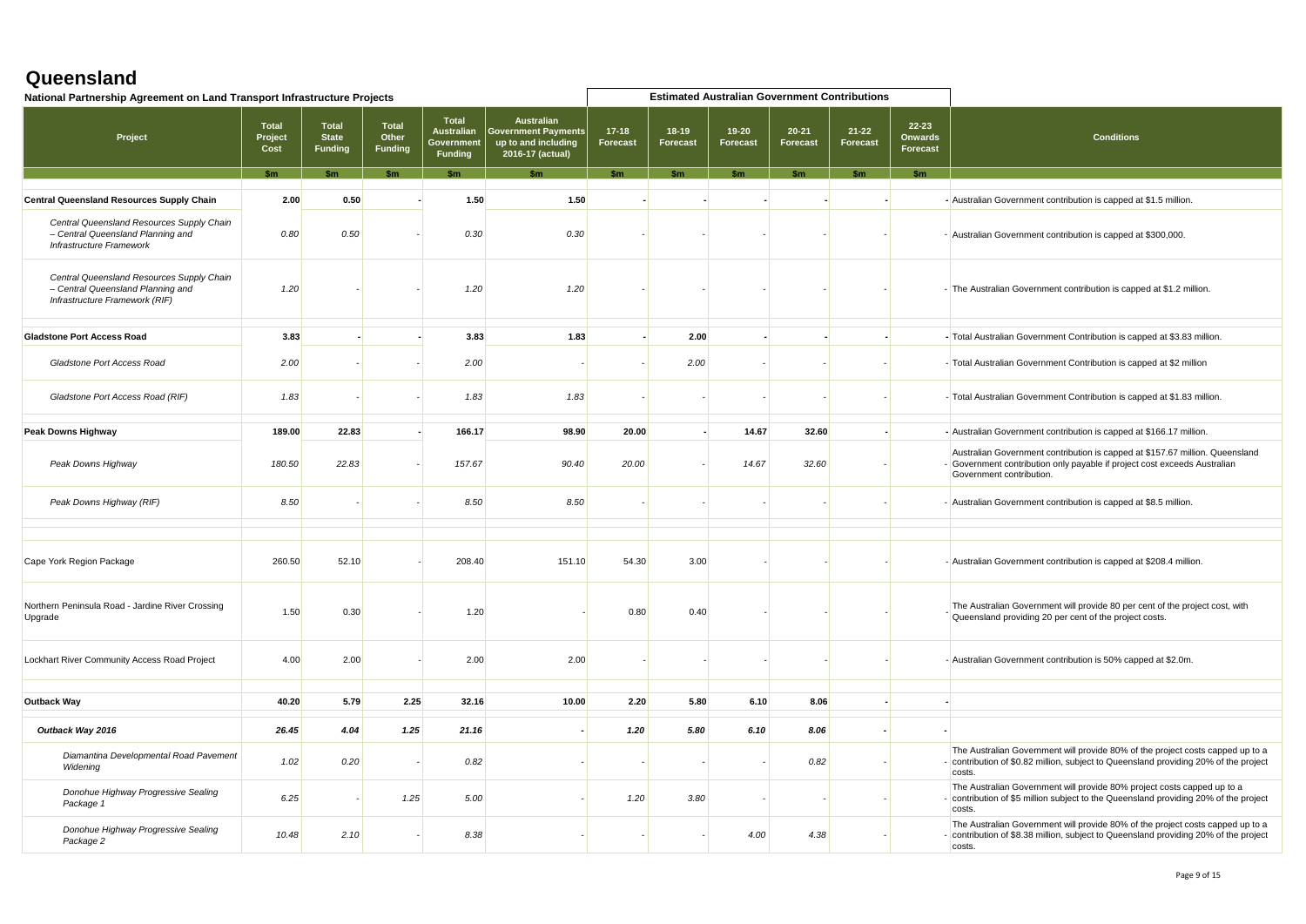| National Partnership Agreement on Land Transport Infrastructure Projects                                         |                          |                                         |                                  |                                                                   |                                                                                       |                       |                       |                       | <b>Estimated Australian Government Contributions</b> |                       |                                                |                                                                                                                                                                                       |
|------------------------------------------------------------------------------------------------------------------|--------------------------|-----------------------------------------|----------------------------------|-------------------------------------------------------------------|---------------------------------------------------------------------------------------|-----------------------|-----------------------|-----------------------|------------------------------------------------------|-----------------------|------------------------------------------------|---------------------------------------------------------------------------------------------------------------------------------------------------------------------------------------|
| Project                                                                                                          | Total<br>Project<br>Cost | Total<br><b>State</b><br><b>Funding</b> | Total<br>Other<br><b>Funding</b> | <b>Total</b><br><b>Australian</b><br>Government<br><b>Funding</b> | <b>Australian</b><br>  Government Payments<br>up to and including<br>2016-17 (actual) | $17 - 18$<br>Forecast | $18 - 19$<br>Forecast | $19 - 20$<br>Forecast | $20 - 21$<br>Forecast                                | $21 - 22$<br>Forecast | $22 - 23$<br><b>Onwards</b><br><b>Forecast</b> | <b>Conditions</b>                                                                                                                                                                     |
|                                                                                                                  |                          | \$m                                     | $k_{m}$                          | $S_{\rm m}$                                                       |                                                                                       | \$m\$                 |                       | $S_{rr}$              | $k_{m}$                                              |                       | \$m\$                                          |                                                                                                                                                                                       |
| <b>Central Queensland Resources Supply Chain</b>                                                                 | 2.00                     | 0.50                                    |                                  | 1.50                                                              | 1.50                                                                                  |                       |                       |                       |                                                      |                       |                                                | - Australian Government contribution is capped at \$1.5 million.                                                                                                                      |
| Central Queensland Resources Supply Chain<br>- Central Queensland Planning and<br>Infrastructure Framework       | 0.80                     | 0.50                                    |                                  | 0.30                                                              | 0.30                                                                                  |                       |                       |                       |                                                      |                       |                                                | - Australian Government contribution is capped at \$300,000.                                                                                                                          |
| Central Queensland Resources Supply Chain<br>- Central Queensland Planning and<br>Infrastructure Framework (RIF) | 1.20                     |                                         |                                  | 1.20                                                              | 1.20                                                                                  |                       |                       |                       |                                                      |                       |                                                | - The Australian Government contribution is capped at \$1.2 million.                                                                                                                  |
| <b>Gladstone Port Access Road</b>                                                                                | 3.83                     |                                         |                                  | 3.83                                                              | 1.83                                                                                  |                       | 2.00                  |                       |                                                      |                       |                                                | - Total Australian Government Contribution is capped at \$3.83 million.                                                                                                               |
| Gladstone Port Access Road                                                                                       | 2.00                     |                                         |                                  | 2.00                                                              |                                                                                       |                       | 2.00                  |                       |                                                      |                       |                                                | - Total Australian Government Contribution is capped at \$2 million                                                                                                                   |
| Gladstone Port Access Road (RIF)                                                                                 | 1.83                     |                                         |                                  | 1.83                                                              | 1.83                                                                                  |                       |                       |                       |                                                      |                       |                                                | - Total Australian Government Contribution is capped at \$1.83 million.                                                                                                               |
| <b>Peak Downs Highway</b>                                                                                        | 189.00                   | 22.83                                   |                                  | 166.17                                                            | 98.90                                                                                 | 20.00                 |                       | 14.67                 | 32.60                                                |                       |                                                | - Australian Government contribution is capped at \$166.17 million.                                                                                                                   |
| Peak Downs Highway                                                                                               | 180.50                   | 22.83                                   |                                  | 157.67                                                            | 90.40                                                                                 | 20.00                 |                       | 14.67                 | 32.60                                                |                       |                                                | Australian Government contribution is capped at \$157.67 million. Queensland<br>- Government contribution only payable if project cost exceeds Australian<br>Government contribution. |
| Peak Downs Highway (RIF)                                                                                         | 8.50                     |                                         |                                  | 8.50                                                              | 8.50                                                                                  |                       |                       |                       |                                                      |                       |                                                | - Australian Government contribution is capped at \$8.5 million.                                                                                                                      |
|                                                                                                                  |                          |                                         |                                  |                                                                   |                                                                                       |                       |                       |                       |                                                      |                       |                                                |                                                                                                                                                                                       |
| Cape York Region Package                                                                                         | 260.50                   | 52.10                                   |                                  | 208.40                                                            | 151.10                                                                                | 54.30                 | 3.00                  |                       |                                                      |                       |                                                | - Australian Government contribution is capped at \$208.4 million.                                                                                                                    |
| Northern Peninsula Road - Jardine River Crossing<br>Upgrade                                                      | 1.50                     | 0.30                                    |                                  | 1.20                                                              |                                                                                       | 0.80                  | 0.40                  |                       |                                                      |                       |                                                | The Australian Government will provide 80 per cent of the project cost, with<br>Queensland providing 20 per cent of the project costs.                                                |
| Lockhart River Community Access Road Project                                                                     | 4.00                     | 2.00                                    |                                  | 2.00                                                              | 2.00                                                                                  |                       |                       |                       |                                                      |                       |                                                | - Australian Government contribution is 50% capped at \$2.0m.                                                                                                                         |
| <b>Outback Way</b>                                                                                               | 40.20                    | 5.79                                    | 2.25                             | 32.16                                                             | 10.00                                                                                 | 2.20                  | 5.80                  | 6.10                  | 8.06                                                 |                       |                                                |                                                                                                                                                                                       |
|                                                                                                                  |                          |                                         |                                  |                                                                   |                                                                                       |                       |                       |                       |                                                      |                       |                                                |                                                                                                                                                                                       |
| Outback Way 2016                                                                                                 | 26.45                    | 4.04                                    | 1.25                             | 21.16                                                             |                                                                                       | 1.20                  | 5.80                  | 6.10                  | 8.06                                                 |                       |                                                |                                                                                                                                                                                       |
| Diamantina Developmental Road Pavement<br>Widening                                                               | 1.02                     | 0.20                                    |                                  | 0.82                                                              |                                                                                       |                       |                       |                       | 0.82                                                 |                       |                                                | The Australian Government will provide 80% of the project costs capped up to a<br>- contribution of \$0.82 million, subject to Queensland providing 20% of the project<br>costs.      |
| Donohue Highway Progressive Sealing<br>Package 1                                                                 | 6.25                     |                                         | 1.25                             | 5.00                                                              |                                                                                       | 1.20                  | 3.80                  |                       |                                                      |                       |                                                | The Australian Government will provide 80% project costs capped up to a<br>- contribution of \$5 million subject to the Queensland providing 20% of the project<br>costs.             |
| Donohue Highway Progressive Sealing<br>Package 2                                                                 | 10.48                    | 2.10                                    |                                  | 8.38                                                              |                                                                                       |                       |                       | 4.00                  | 4.38                                                 |                       |                                                | The Australian Government will provide 80% of the project costs capped up to a<br>- contribution of \$8.38 million, subject to Queensland providing 20% of the project<br>costs.      |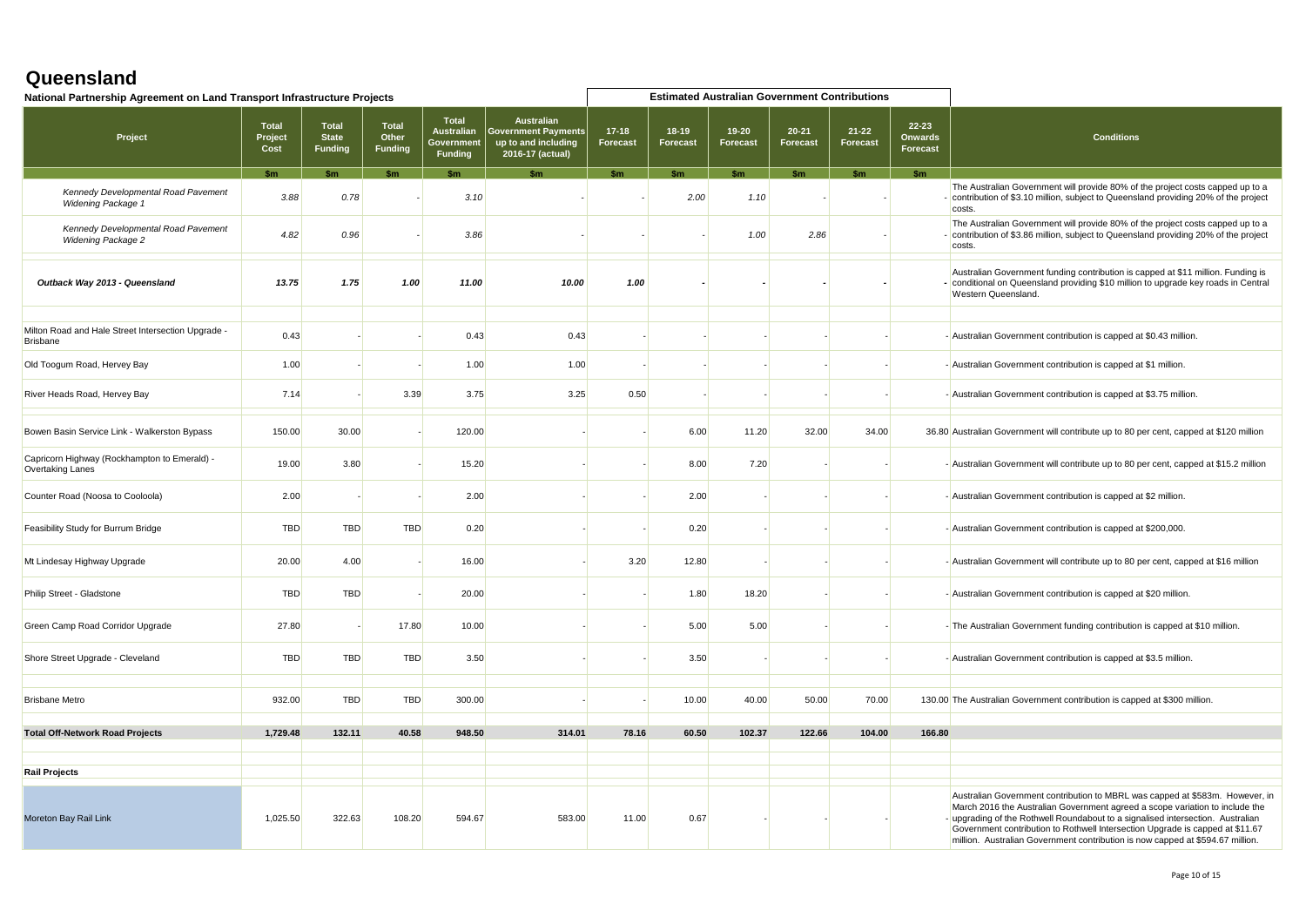| National Partnership Agreement on Land Transport Infrastructure Projects |                                 |                                                |                                         |                                                                   |                                                                                            |                     |                            | <b>Estimated Australian Government Contributions</b> |                       |                       |                                         |                                                                                                                                                                                                                                                                                                                                                                                                                    |
|--------------------------------------------------------------------------|---------------------------------|------------------------------------------------|-----------------------------------------|-------------------------------------------------------------------|--------------------------------------------------------------------------------------------|---------------------|----------------------------|------------------------------------------------------|-----------------------|-----------------------|-----------------------------------------|--------------------------------------------------------------------------------------------------------------------------------------------------------------------------------------------------------------------------------------------------------------------------------------------------------------------------------------------------------------------------------------------------------------------|
| Project                                                                  | <b>Total</b><br>Project<br>Cost | <b>Total</b><br><b>State</b><br><b>Funding</b> | <b>Total</b><br>Other<br><b>Funding</b> | <b>Total</b><br><b>Australian</b><br>Government<br><b>Funding</b> | <b>Australian</b><br><b>Government Payments</b><br>up to and including<br>2016-17 (actual) | $17-18$<br>Forecast | $18-19$<br><b>Forecast</b> | $19 - 20$<br>Forecast                                | $20 - 21$<br>Forecast | $21 - 22$<br>Forecast | $22 - 23$<br><b>Onwards</b><br>Forecast | <b>Conditions</b>                                                                                                                                                                                                                                                                                                                                                                                                  |
|                                                                          |                                 |                                                |                                         |                                                                   |                                                                                            | $k_{m}$             |                            |                                                      |                       |                       | <b>Sm</b>                               |                                                                                                                                                                                                                                                                                                                                                                                                                    |
| Kennedy Developmental Road Pavement<br><b>Widening Package 1</b>         | 3.88                            | 0.78                                           |                                         | 3.10                                                              |                                                                                            |                     | 2.00                       | 1.10                                                 |                       |                       |                                         | The Australian Government will provide 80% of the project costs capped up to a<br>- contribution of \$3.10 million, subject to Queensland providing 20% of the project<br>costs.                                                                                                                                                                                                                                   |
| Kennedy Developmental Road Pavement<br><b>Widening Package 2</b>         | 4.82                            | 0.96                                           |                                         | 3.86                                                              |                                                                                            |                     |                            | 1.00                                                 | 2.86                  |                       |                                         | The Australian Government will provide 80% of the project costs capped up to a<br>- contribution of \$3.86 million, subject to Queensland providing 20% of the project<br>costs.                                                                                                                                                                                                                                   |
| Outback Way 2013 - Queensland                                            | 13.75                           | 1.75                                           | 1.00                                    | 11.00                                                             | 10.00                                                                                      | 1.00                |                            |                                                      |                       |                       |                                         | Australian Government funding contribution is capped at \$11 million. Funding is<br>- conditional on Queensland providing \$10 million to upgrade key roads in Central<br>Western Queensland.                                                                                                                                                                                                                      |
|                                                                          |                                 |                                                |                                         |                                                                   |                                                                                            |                     |                            |                                                      |                       |                       |                                         |                                                                                                                                                                                                                                                                                                                                                                                                                    |
| Milton Road and Hale Street Intersection Upgrade -<br><b>Brisbane</b>    | 0.43                            |                                                |                                         | 0.43                                                              | 0.43                                                                                       |                     |                            |                                                      |                       |                       |                                         | - Australian Government contribution is capped at \$0.43 million.                                                                                                                                                                                                                                                                                                                                                  |
| Old Toogum Road, Hervey Bay                                              | 1.00                            |                                                |                                         | 1.00                                                              | 1.00                                                                                       |                     |                            |                                                      |                       |                       |                                         | - Australian Government contribution is capped at \$1 million.                                                                                                                                                                                                                                                                                                                                                     |
| River Heads Road, Hervey Bay                                             | 7.14                            |                                                | 3.39                                    | 3.75                                                              | 3.25                                                                                       | 0.50                |                            |                                                      |                       |                       |                                         | - Australian Government contribution is capped at \$3.75 million.                                                                                                                                                                                                                                                                                                                                                  |
| Bowen Basin Service Link - Walkerston Bypass                             | 150.00                          | 30.00                                          |                                         | 120.00                                                            |                                                                                            |                     | 6.00                       | 11.20                                                | 32.00                 | 34.00                 |                                         | 36.80 Australian Government will contribute up to 80 per cent, capped at \$120 million                                                                                                                                                                                                                                                                                                                             |
| Capricorn Highway (Rockhampton to Emerald) -<br>Overtaking Lanes         | 19.00                           | 3.80                                           |                                         | 15.20                                                             |                                                                                            |                     | 8.00                       | 7.20                                                 |                       |                       |                                         | - Australian Government will contribute up to 80 per cent, capped at \$15.2 million                                                                                                                                                                                                                                                                                                                                |
| Counter Road (Noosa to Cooloola)                                         | 2.00                            |                                                |                                         | 2.00                                                              |                                                                                            |                     | 2.00                       |                                                      |                       |                       |                                         | - Australian Government contribution is capped at \$2 million.                                                                                                                                                                                                                                                                                                                                                     |
| Feasibility Study for Burrum Bridge                                      | <b>TBD</b>                      | <b>TBD</b>                                     | <b>TBD</b>                              | 0.20                                                              |                                                                                            |                     | 0.20                       |                                                      |                       |                       |                                         | - Australian Government contribution is capped at \$200,000.                                                                                                                                                                                                                                                                                                                                                       |
| Mt Lindesay Highway Upgrade                                              | 20.00                           | 4.00                                           |                                         | 16.00                                                             |                                                                                            | 3.20                | 12.80                      |                                                      |                       |                       |                                         | - Australian Government will contribute up to 80 per cent, capped at \$16 million                                                                                                                                                                                                                                                                                                                                  |
| Philip Street - Gladstone                                                | <b>TBD</b>                      | <b>TBD</b>                                     |                                         | 20.00                                                             |                                                                                            |                     | 1.80                       | 18.20                                                |                       |                       |                                         | - Australian Government contribution is capped at \$20 million.                                                                                                                                                                                                                                                                                                                                                    |
| Green Camp Road Corridor Upgrade                                         | 27.80                           |                                                | 17.80                                   | 10.00                                                             |                                                                                            |                     | 5.00                       | 5.00                                                 |                       |                       |                                         | -The Australian Government funding contribution is capped at \$10 million.                                                                                                                                                                                                                                                                                                                                         |
| Shore Street Upgrade - Cleveland                                         | <b>TBD</b>                      | <b>TBD</b>                                     | <b>TBD</b>                              | 3.50                                                              |                                                                                            |                     | 3.50                       |                                                      |                       |                       |                                         | - Australian Government contribution is capped at \$3.5 million.                                                                                                                                                                                                                                                                                                                                                   |
|                                                                          |                                 |                                                |                                         |                                                                   |                                                                                            |                     |                            |                                                      |                       |                       |                                         |                                                                                                                                                                                                                                                                                                                                                                                                                    |
| <b>Brisbane Metro</b>                                                    | 932.00                          | <b>TBD</b>                                     | <b>TBD</b>                              | 300.00                                                            |                                                                                            |                     | 10.00                      | 40.00                                                | 50.00                 | 70.00                 |                                         | 130.00 The Australian Government contribution is capped at \$300 million.                                                                                                                                                                                                                                                                                                                                          |
| <b>Total Off-Network Road Projects</b>                                   | 1,729.48                        | 132.11                                         | 40.58                                   | 948.50                                                            | 314.01                                                                                     | 78.16               | 60.50                      | 102.37                                               | 122.66                | 104.00                | 166.80                                  |                                                                                                                                                                                                                                                                                                                                                                                                                    |
|                                                                          |                                 |                                                |                                         |                                                                   |                                                                                            |                     |                            |                                                      |                       |                       |                                         |                                                                                                                                                                                                                                                                                                                                                                                                                    |
|                                                                          |                                 |                                                |                                         |                                                                   |                                                                                            |                     |                            |                                                      |                       |                       |                                         |                                                                                                                                                                                                                                                                                                                                                                                                                    |
| <b>Rail Projects</b>                                                     |                                 |                                                |                                         |                                                                   |                                                                                            |                     |                            |                                                      |                       |                       |                                         |                                                                                                                                                                                                                                                                                                                                                                                                                    |
| Moreton Bay Rail Link                                                    | 1,025.50                        | 322.63                                         | 108.20                                  | 594.67                                                            | 583.00                                                                                     | 11.00               | 0.67                       |                                                      |                       |                       |                                         | Australian Government contribution to MBRL was capped at \$583m. However, in<br>March 2016 the Australian Government agreed a scope variation to include the<br>- upgrading of the Rothwell Roundabout to a signalised intersection. Australian<br>Government contribution to Rothwell Intersection Upgrade is capped at \$11.67<br>million. Australian Government contribution is now capped at \$594.67 million. |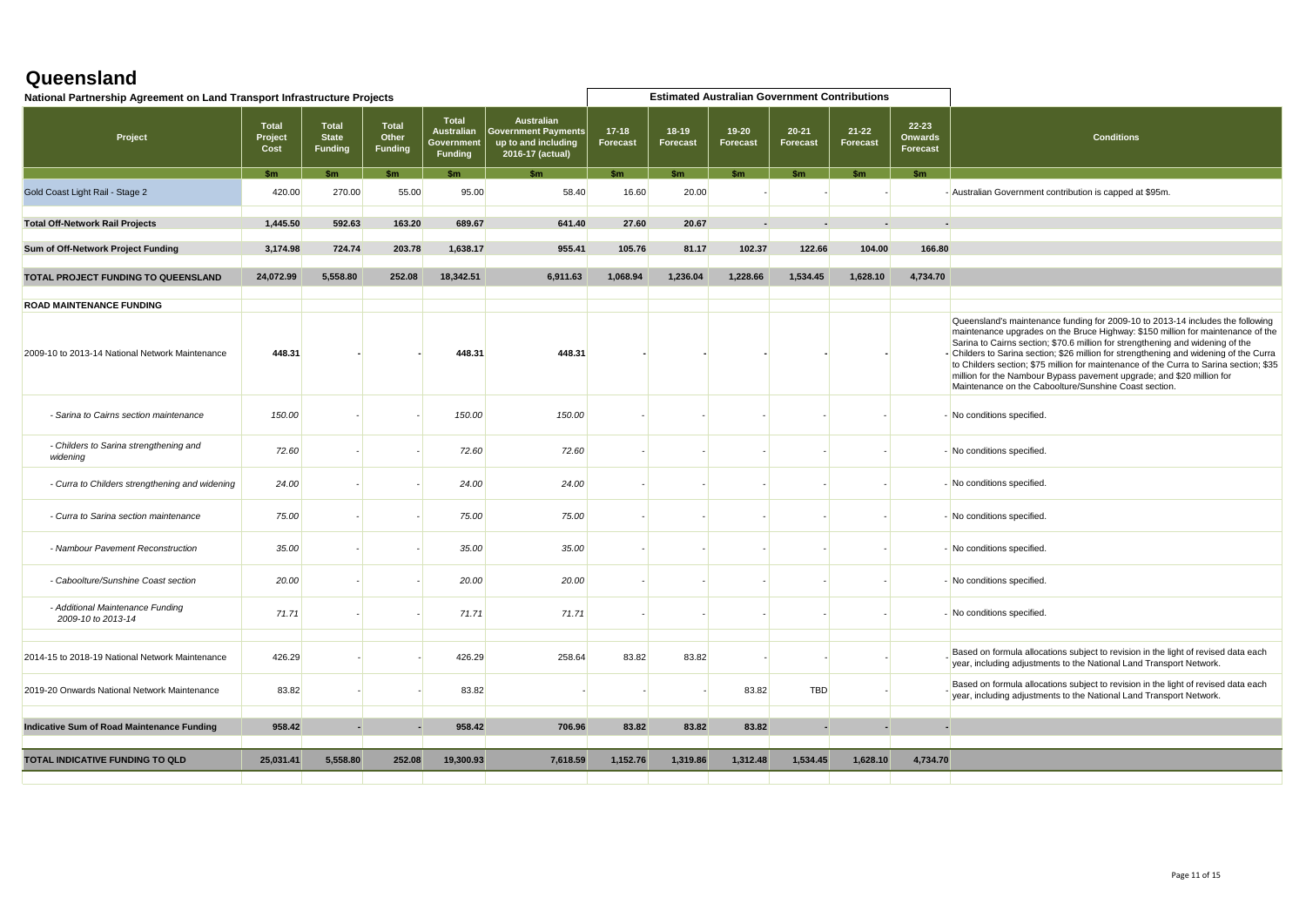| National Partnership Agreement on Land Transport Infrastructure Projects |                                 |                                                |                                         |                                                            |                                                                                       |                     |                              | <b>Estimated Australian Government Contributions</b> |                       |                              |                                     |                                                                                                                                                                                                                                                                                                                                                                                                                                                                                                                                                                           |
|--------------------------------------------------------------------------|---------------------------------|------------------------------------------------|-----------------------------------------|------------------------------------------------------------|---------------------------------------------------------------------------------------|---------------------|------------------------------|------------------------------------------------------|-----------------------|------------------------------|-------------------------------------|---------------------------------------------------------------------------------------------------------------------------------------------------------------------------------------------------------------------------------------------------------------------------------------------------------------------------------------------------------------------------------------------------------------------------------------------------------------------------------------------------------------------------------------------------------------------------|
| Project                                                                  | <b>Total</b><br>Project<br>Cost | <b>Total</b><br><b>State</b><br><b>Funding</b> | <b>Total</b><br>Other<br><b>Funding</b> | <b>Total</b><br>Australian<br>Government<br><b>Funding</b> | <b>Australian</b><br>  Government Payments<br>up to and including<br>2016-17 (actual) | $17-18$<br>Forecast | $18 - 19$<br><b>Forecast</b> | $19 - 20$<br>Forecast                                | $20 - 21$<br>Forecast | $21 - 22$<br><b>Forecast</b> | 22-23<br><b>Onwards</b><br>Forecast | <b>Conditions</b>                                                                                                                                                                                                                                                                                                                                                                                                                                                                                                                                                         |
|                                                                          | S <sub>m</sub>                  | \$m                                            | \$m\$                                   | \$m                                                        | \$m                                                                                   | \$m                 | \$m\$                        | \$m                                                  | \$m                   | $\mathsf{sm}$                | \$m\$                               |                                                                                                                                                                                                                                                                                                                                                                                                                                                                                                                                                                           |
| Gold Coast Light Rail - Stage 2                                          | 420.00                          | 270.00                                         | 55.00                                   | 95.00                                                      | 58.40                                                                                 | 16.60               | 20.00                        |                                                      |                       |                              |                                     | - Australian Government contribution is capped at \$95m.                                                                                                                                                                                                                                                                                                                                                                                                                                                                                                                  |
| <b>Total Off-Network Rail Projects</b>                                   | 1,445.50                        | 592.63                                         | 163.20                                  | 689.67                                                     | 641.40                                                                                | 27.60               | 20.67                        |                                                      |                       |                              |                                     |                                                                                                                                                                                                                                                                                                                                                                                                                                                                                                                                                                           |
| Sum of Off-Network Project Funding                                       | 3,174.98                        | 724.74                                         | 203.78                                  | 1,638.17                                                   | 955.41                                                                                | 105.76              | 81.17                        | 102.37                                               | 122.66                | 104.00                       | 166.80                              |                                                                                                                                                                                                                                                                                                                                                                                                                                                                                                                                                                           |
| TOTAL PROJECT FUNDING TO QUEENSLAND                                      | 24,072.99                       | 5,558.80                                       | 252.08                                  | 18,342.51                                                  | 6,911.63                                                                              | 1,068.94            | 1,236.04                     | 1,228.66                                             | 1,534.45              | 1,628.10                     | 4,734.70                            |                                                                                                                                                                                                                                                                                                                                                                                                                                                                                                                                                                           |
| <b>ROAD MAINTENANCE FUNDING</b>                                          |                                 |                                                |                                         |                                                            |                                                                                       |                     |                              |                                                      |                       |                              |                                     |                                                                                                                                                                                                                                                                                                                                                                                                                                                                                                                                                                           |
| 2009-10 to 2013-14 National Network Maintenance                          | 448.31                          |                                                |                                         | 448.31                                                     | 448.31                                                                                |                     |                              |                                                      |                       |                              |                                     | Queensland's maintenance funding for 2009-10 to 2013-14 includes the following<br>maintenance upgrades on the Bruce Highway: \$150 million for maintenance of the<br>Sarina to Cairns section; \$70.6 million for strengthening and widening of the<br>- Childers to Sarina section; \$26 million for strengthening and widening of the Curra<br>to Childers section; \$75 million for maintenance of the Curra to Sarina section; \$35<br>million for the Nambour Bypass pavement upgrade; and \$20 million for<br>Maintenance on the Caboolture/Sunshine Coast section. |
| - Sarina to Cairns section maintenance                                   | 150.00                          |                                                |                                         | 150.00                                                     | 150.00                                                                                |                     |                              |                                                      |                       |                              |                                     | - No conditions specified.                                                                                                                                                                                                                                                                                                                                                                                                                                                                                                                                                |
| - Childers to Sarina strengthening and<br>widening                       | 72.60                           |                                                |                                         | 72.60                                                      | 72.60                                                                                 |                     |                              |                                                      |                       |                              |                                     | - No conditions specified.                                                                                                                                                                                                                                                                                                                                                                                                                                                                                                                                                |
| - Curra to Childers strengthening and widening                           | 24.00                           |                                                |                                         | 24.00                                                      | 24.00                                                                                 |                     |                              |                                                      |                       |                              |                                     | - No conditions specified.                                                                                                                                                                                                                                                                                                                                                                                                                                                                                                                                                |
| - Curra to Sarina section maintenance                                    | 75.00                           |                                                |                                         | 75.00                                                      | 75.00                                                                                 |                     |                              |                                                      |                       |                              |                                     | - No conditions specified.                                                                                                                                                                                                                                                                                                                                                                                                                                                                                                                                                |
| - Nambour Pavement Reconstruction                                        | 35.00                           |                                                |                                         | 35.00                                                      | 35.00                                                                                 |                     |                              |                                                      |                       |                              |                                     | - No conditions specified.                                                                                                                                                                                                                                                                                                                                                                                                                                                                                                                                                |
| - Caboolture/Sunshine Coast section                                      | 20.00                           |                                                |                                         | 20.00                                                      | 20.00                                                                                 |                     |                              |                                                      |                       |                              |                                     | - No conditions specified.                                                                                                                                                                                                                                                                                                                                                                                                                                                                                                                                                |
| - Additional Maintenance Funding<br>2009-10 to 2013-14                   | 71.71                           |                                                |                                         | 71.71                                                      | 71.71                                                                                 |                     |                              |                                                      |                       |                              |                                     | - No conditions specified.                                                                                                                                                                                                                                                                                                                                                                                                                                                                                                                                                |
| 2014-15 to 2018-19 National Network Maintenance                          | 426.29                          |                                                |                                         | 426.29                                                     | 258.64                                                                                | 83.82               | 83.82                        |                                                      |                       |                              |                                     | Based on formula allocations subject to revision in the light of revised data each<br>year, including adjustments to the National Land Transport Network.                                                                                                                                                                                                                                                                                                                                                                                                                 |
| 2019-20 Onwards National Network Maintenance                             | 83.82                           |                                                |                                         | 83.82                                                      |                                                                                       |                     |                              | 83.82                                                | <b>TBD</b>            |                              |                                     | Based on formula allocations subject to revision in the light of revised data each<br>year, including adjustments to the National Land Transport Network.                                                                                                                                                                                                                                                                                                                                                                                                                 |
| Indicative Sum of Road Maintenance Funding                               | 958.42                          | ×.                                             |                                         | 958.42                                                     | 706.96                                                                                | 83.82               | 83.82                        | 83.82                                                |                       | $\blacksquare$               | $\blacksquare$                      |                                                                                                                                                                                                                                                                                                                                                                                                                                                                                                                                                                           |
| TOTAL INDICATIVE FUNDING TO QLD                                          | 25,031.41                       | 5,558.80                                       | 252.08                                  | 19,300.93                                                  | 7,618.59                                                                              | 1,152.76            | 1,319.86                     | 1,312.48                                             | 1,534.45              | 1,628.10                     | 4,734.70                            |                                                                                                                                                                                                                                                                                                                                                                                                                                                                                                                                                                           |
|                                                                          |                                 |                                                |                                         |                                                            |                                                                                       |                     |                              |                                                      |                       |                              |                                     |                                                                                                                                                                                                                                                                                                                                                                                                                                                                                                                                                                           |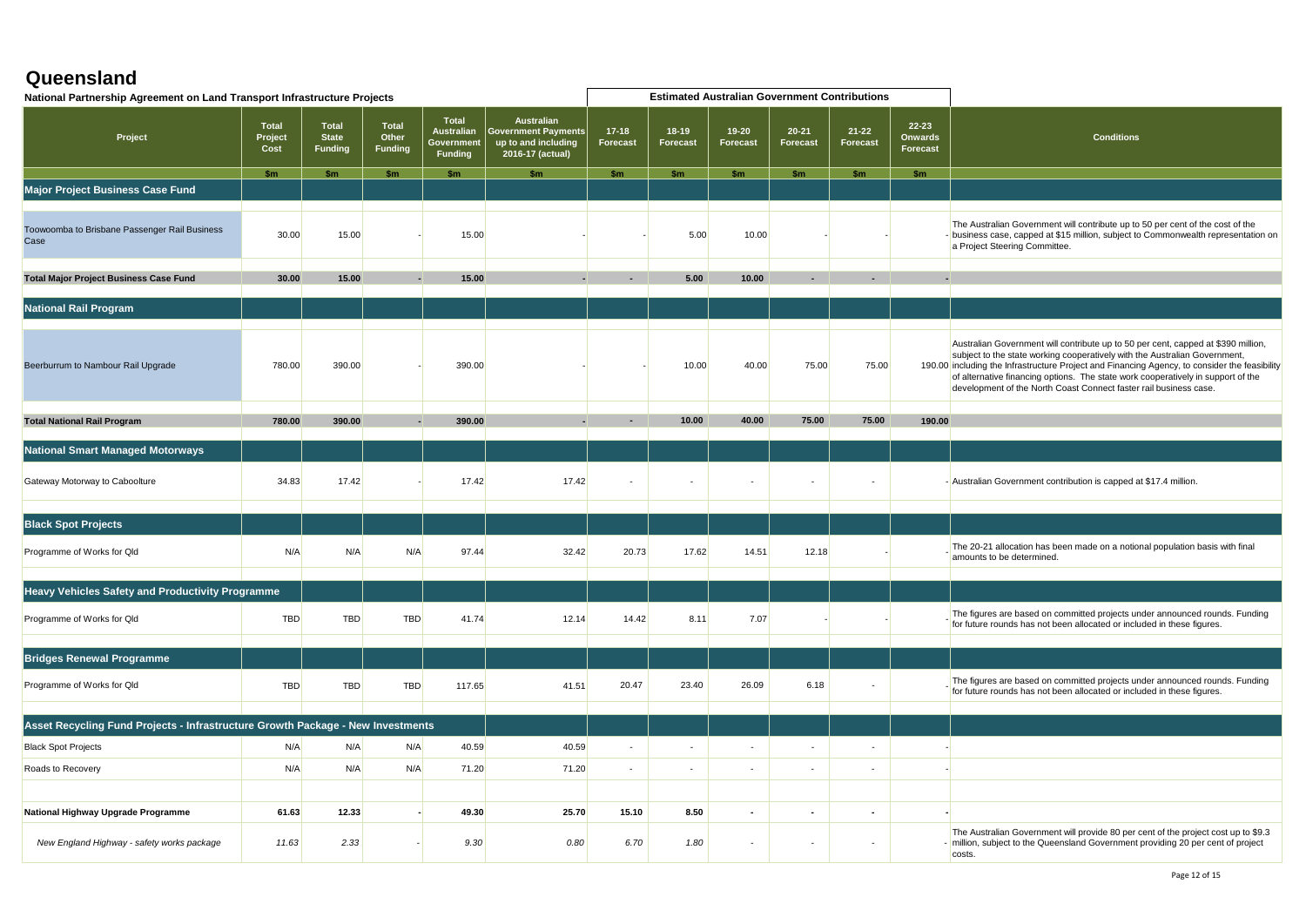| National Partnership Agreement on Land Transport Infrastructure Projects        |                                 |                                         |                                         |                                                            |                                                                                            |                            |                          |                       | <b>Estimated Australian Government Contributions</b> |                          |                                  |                                                                                                                                                                                                                                                                                                                                                                                                                           |
|---------------------------------------------------------------------------------|---------------------------------|-----------------------------------------|-----------------------------------------|------------------------------------------------------------|--------------------------------------------------------------------------------------------|----------------------------|--------------------------|-----------------------|------------------------------------------------------|--------------------------|----------------------------------|---------------------------------------------------------------------------------------------------------------------------------------------------------------------------------------------------------------------------------------------------------------------------------------------------------------------------------------------------------------------------------------------------------------------------|
| Project                                                                         | <b>Total</b><br>Project<br>Cost | Total<br><b>State</b><br><b>Funding</b> | <b>Total</b><br>Other<br><b>Funding</b> | <b>Total</b><br><b>Australian</b><br>Government<br>Funding | <b>Australian</b><br><b>Government Payments</b><br>up to and including<br>2016-17 (actual) | $17-18$<br><b>Forecast</b> | 18-19<br>Forecast        | $19 - 20$<br>Forecast | $20 - 21$<br>Forecast                                | 21-22<br>Forecast        | $22 - 23$<br>Onwards<br>Forecast | <b>Conditions</b>                                                                                                                                                                                                                                                                                                                                                                                                         |
|                                                                                 | \$m                             | <b>Sm</b>                               | <b>Sm</b>                               | \$m                                                        | \$m\$                                                                                      | \$m                        | \$m                      | \$m                   | \$m                                                  | \$m                      | \$m                              |                                                                                                                                                                                                                                                                                                                                                                                                                           |
| Major Project Business Case Fund                                                |                                 |                                         |                                         |                                                            |                                                                                            |                            |                          |                       |                                                      |                          |                                  |                                                                                                                                                                                                                                                                                                                                                                                                                           |
| Toowoomba to Brisbane Passenger Rail Business<br>Case                           | 30.00                           | 15.00                                   |                                         | 15.00                                                      |                                                                                            |                            | 5.00                     | 10.00                 |                                                      |                          |                                  | The Australian Government will contribute up to 50 per cent of the cost of the<br>- business case, capped at \$15 million, subject to Commonwealth representation on<br>a Project Steering Committee.                                                                                                                                                                                                                     |
| Total Major Project Business Case Fund                                          | 30.00                           | 15.00                                   |                                         | 15.00                                                      |                                                                                            |                            | 5.00                     | 10.00                 |                                                      |                          |                                  |                                                                                                                                                                                                                                                                                                                                                                                                                           |
|                                                                                 |                                 |                                         |                                         |                                                            |                                                                                            |                            |                          |                       |                                                      |                          |                                  |                                                                                                                                                                                                                                                                                                                                                                                                                           |
| <b>National Rail Program</b>                                                    |                                 |                                         |                                         |                                                            |                                                                                            |                            |                          |                       |                                                      |                          |                                  |                                                                                                                                                                                                                                                                                                                                                                                                                           |
|                                                                                 |                                 |                                         |                                         |                                                            |                                                                                            |                            |                          |                       |                                                      |                          |                                  |                                                                                                                                                                                                                                                                                                                                                                                                                           |
| Beerburrum to Nambour Rail Upgrade                                              | 780.00                          | 390.00                                  |                                         | 390.00                                                     |                                                                                            |                            | 10.00                    | 40.00                 | 75.00                                                | 75.00                    |                                  | Australian Government will contribute up to 50 per cent, capped at \$390 million,<br>subject to the state working cooperatively with the Australian Government,<br>190.00 including the Infrastructure Project and Financing Agency, to consider the feasibility<br>of alternative financing options. The state work cooperatively in support of the<br>development of the North Coast Connect faster rail business case. |
|                                                                                 |                                 |                                         |                                         |                                                            |                                                                                            |                            |                          |                       |                                                      |                          |                                  |                                                                                                                                                                                                                                                                                                                                                                                                                           |
| <b>Total National Rail Program</b>                                              | 780.00                          | 390.00                                  |                                         | 390.00                                                     |                                                                                            |                            | 10.00                    | 40.00                 | 75.00                                                | 75.00                    | 190.00                           |                                                                                                                                                                                                                                                                                                                                                                                                                           |
| <b>National Smart Managed Motorways</b>                                         |                                 |                                         |                                         |                                                            |                                                                                            |                            |                          |                       |                                                      |                          |                                  |                                                                                                                                                                                                                                                                                                                                                                                                                           |
| Gateway Motorway to Caboolture                                                  | 34.83                           | 17.42                                   |                                         | 17.42                                                      | 17.42                                                                                      |                            |                          |                       |                                                      |                          |                                  | - Australian Government contribution is capped at \$17.4 million.                                                                                                                                                                                                                                                                                                                                                         |
|                                                                                 |                                 |                                         |                                         |                                                            |                                                                                            |                            |                          |                       |                                                      |                          |                                  |                                                                                                                                                                                                                                                                                                                                                                                                                           |
| <b>Black Spot Projects</b>                                                      |                                 |                                         |                                         |                                                            |                                                                                            |                            |                          |                       |                                                      |                          |                                  |                                                                                                                                                                                                                                                                                                                                                                                                                           |
| Programme of Works for Qld                                                      | N/A                             | N/A                                     | N/A                                     | 97.44                                                      | 32.42                                                                                      | 20.73                      | 17.62                    | 14.51                 | 12.18                                                |                          |                                  | The 20-21 allocation has been made on a notional population basis with final<br>amounts to be determined.                                                                                                                                                                                                                                                                                                                 |
|                                                                                 |                                 |                                         |                                         |                                                            |                                                                                            |                            |                          |                       |                                                      |                          |                                  |                                                                                                                                                                                                                                                                                                                                                                                                                           |
| <b>Heavy Vehicles Safety and Productivity Programme</b>                         |                                 |                                         |                                         |                                                            |                                                                                            |                            |                          |                       |                                                      |                          |                                  |                                                                                                                                                                                                                                                                                                                                                                                                                           |
| Programme of Works for Qld                                                      | <b>TBD</b>                      | TBD                                     | <b>TBD</b>                              | 41.74                                                      | 12.14                                                                                      | 14.42                      | 8.11                     | 7.07                  |                                                      |                          |                                  | The figures are based on committed projects under announced rounds. Funding<br>for future rounds has not been allocated or included in these figures.                                                                                                                                                                                                                                                                     |
|                                                                                 |                                 |                                         |                                         |                                                            |                                                                                            |                            |                          |                       |                                                      |                          |                                  |                                                                                                                                                                                                                                                                                                                                                                                                                           |
| <b>Bridges Renewal Programme</b>                                                |                                 |                                         |                                         |                                                            |                                                                                            |                            |                          |                       |                                                      |                          |                                  |                                                                                                                                                                                                                                                                                                                                                                                                                           |
| Programme of Works for Qld                                                      | <b>TBD</b>                      | <b>TBD</b>                              | <b>TBD</b>                              | 117.65                                                     | 41.51                                                                                      | 20.47                      | 23.40                    | 26.09                 | 6.18                                                 |                          |                                  | The figures are based on committed projects under announced rounds. Funding<br>for future rounds has not been allocated or included in these figures.                                                                                                                                                                                                                                                                     |
| Asset Recycling Fund Projects - Infrastructure Growth Package - New Investments |                                 |                                         |                                         |                                                            |                                                                                            |                            |                          |                       |                                                      |                          |                                  |                                                                                                                                                                                                                                                                                                                                                                                                                           |
| <b>Black Spot Projects</b>                                                      | N/A                             | N/A                                     | N/A                                     | 40.59                                                      | 40.59                                                                                      | $\sim$                     | $\overline{\phantom{a}}$ |                       |                                                      | $\overline{\phantom{a}}$ |                                  |                                                                                                                                                                                                                                                                                                                                                                                                                           |
|                                                                                 |                                 |                                         |                                         |                                                            |                                                                                            |                            |                          |                       |                                                      |                          |                                  |                                                                                                                                                                                                                                                                                                                                                                                                                           |
| Roads to Recovery                                                               | N/A                             | N/A                                     | N/A                                     | 71.20                                                      | 71.20                                                                                      | $\sim$                     | $\sim$                   | $\sim$                | $\blacksquare$                                       | $\blacksquare$           |                                  |                                                                                                                                                                                                                                                                                                                                                                                                                           |
|                                                                                 |                                 |                                         |                                         |                                                            |                                                                                            |                            |                          |                       |                                                      |                          |                                  |                                                                                                                                                                                                                                                                                                                                                                                                                           |
| National Highway Upgrade Programme                                              | 61.63                           | 12.33                                   |                                         | 49.30                                                      | 25.70                                                                                      | 15.10                      | 8.50                     | $\overline{a}$        | $\overline{\phantom{0}}$                             | $\overline{\phantom{a}}$ |                                  |                                                                                                                                                                                                                                                                                                                                                                                                                           |
| New England Highway - safety works package                                      | 11.63                           | 2.33                                    |                                         | 9.30                                                       | 0.80                                                                                       | 6.70                       | 1.80                     | $\sim$                | $\overline{\phantom{a}}$                             | $\sim$                   |                                  | The Australian Government will provide 80 per cent of the project cost up to \$9.3<br>- million, subject to the Queensland Government providing 20 per cent of project<br>costs.                                                                                                                                                                                                                                          |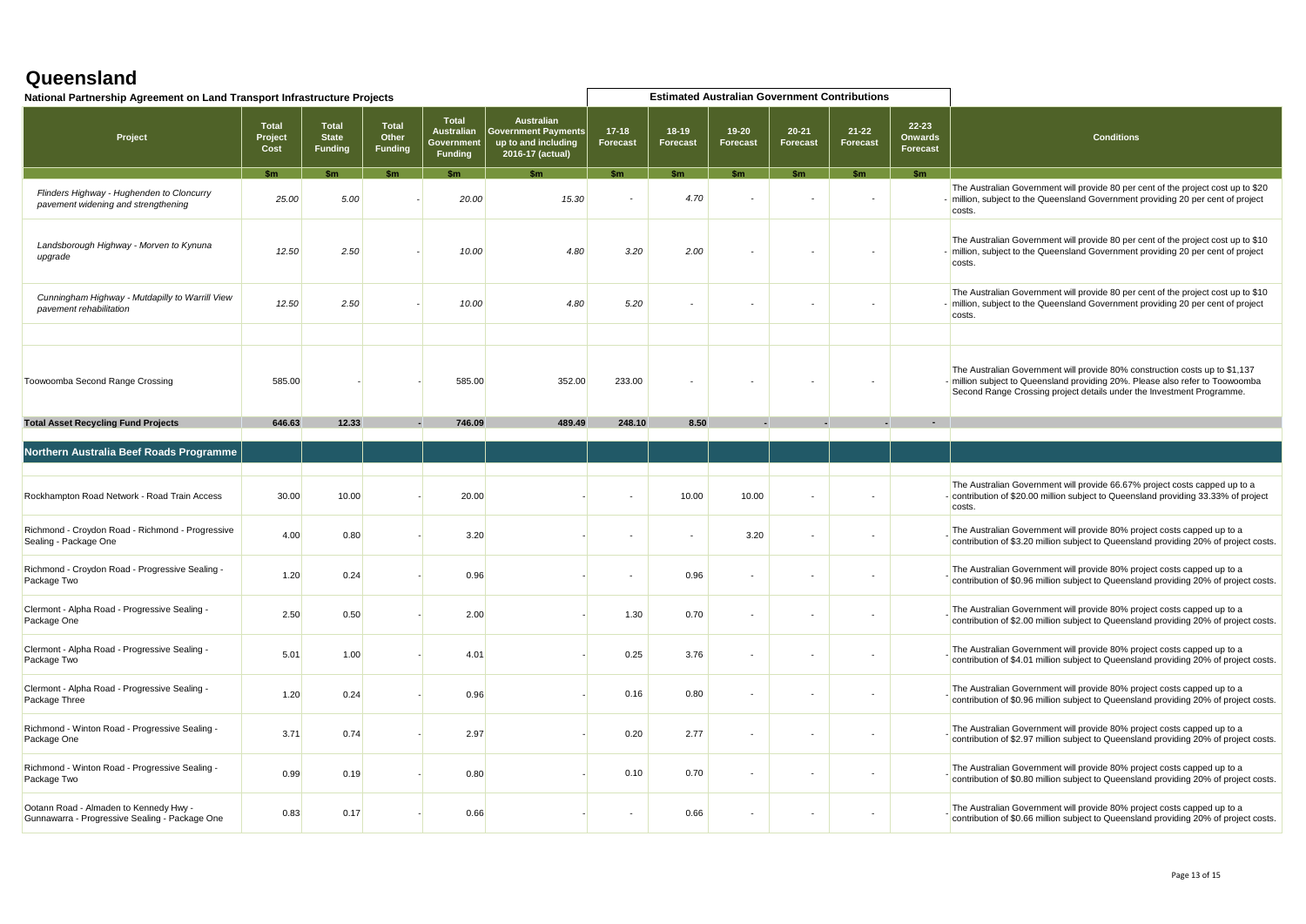| National Partnership Agreement on Land Transport Infrastructure Projects                 |                                 |                                         |                                  |                                                                   |                                                                                            | <b>Estimated Australian Government Contributions</b> |                            |                              |                              |                              |                                     |                                                                                                                                                                                                                                       |
|------------------------------------------------------------------------------------------|---------------------------------|-----------------------------------------|----------------------------------|-------------------------------------------------------------------|--------------------------------------------------------------------------------------------|------------------------------------------------------|----------------------------|------------------------------|------------------------------|------------------------------|-------------------------------------|---------------------------------------------------------------------------------------------------------------------------------------------------------------------------------------------------------------------------------------|
| Project                                                                                  | <b>Total</b><br>Project<br>Cost | Total<br><b>State</b><br><b>Funding</b> | Total<br>Other<br><b>Funding</b> | <b>Total</b><br><b>Australian</b><br>Government<br><b>Funding</b> | <b>Australian</b><br><b>Government Payments</b><br>up to and including<br>2016-17 (actual) | $17 - 18$<br><b>Forecast</b>                         | $18-19$<br><b>Forecast</b> | $19 - 20$<br><b>Forecast</b> | $20 - 21$<br><b>Forecast</b> | $21 - 22$<br><b>Forecast</b> | 22-23<br><b>Onwards</b><br>Forecast | <b>Conditions</b>                                                                                                                                                                                                                     |
|                                                                                          | \$m                             | \$m                                     | \$m\$                            | <b>Sm</b>                                                         |                                                                                            | \$m                                                  | \$m\$                      | \$m                          | \$m                          | \$m                          | \$m                                 |                                                                                                                                                                                                                                       |
| Flinders Highway - Hughenden to Cloncurry<br>pavement widening and strengthening         | 25.00                           | 5.00                                    |                                  | 20.00                                                             | 15.30                                                                                      |                                                      | 4.70                       |                              |                              |                              |                                     | The Australian Government will provide 80 per cent of the project cost up to \$20<br>- million, subject to the Queensland Government providing 20 per cent of project<br>costs.                                                       |
| Landsborough Highway - Morven to Kynuna<br>upgrade                                       | 12.50                           | 2.50                                    |                                  | 10.00                                                             | 4.80                                                                                       | 3.20                                                 | 2.00                       |                              |                              |                              |                                     | The Australian Government will provide 80 per cent of the project cost up to \$10<br>- million, subject to the Queensland Government providing 20 per cent of project<br>costs.                                                       |
| Cunningham Highway - Mutdapilly to Warrill View<br>pavement rehabilitation               | 12.50                           | 2.50                                    |                                  | 10.00                                                             | 4.80                                                                                       | 5.20                                                 |                            |                              |                              |                              |                                     | The Australian Government will provide 80 per cent of the project cost up to \$10<br>- million, subject to the Queensland Government providing 20 per cent of project<br>costs.                                                       |
|                                                                                          |                                 |                                         |                                  |                                                                   |                                                                                            |                                                      |                            |                              |                              |                              |                                     |                                                                                                                                                                                                                                       |
| Toowoomba Second Range Crossing                                                          | 585.00                          |                                         |                                  | 585.00                                                            | 352.00                                                                                     | 233.00                                               |                            |                              |                              |                              |                                     | The Australian Government will provide 80% construction costs up to \$1,137<br>- million subject to Queensland providing 20%. Please also refer to Toowoomba<br>Second Range Crossing project details under the Investment Programme. |
| <b>Total Asset Recycling Fund Projects</b>                                               | 646.63                          | 12.33                                   |                                  | 746.09                                                            | 489.49                                                                                     | 248.10                                               | 8.50                       |                              |                              |                              |                                     |                                                                                                                                                                                                                                       |
| Northern Australia Beef Roads Programme                                                  |                                 |                                         |                                  |                                                                   |                                                                                            |                                                      |                            |                              |                              |                              |                                     |                                                                                                                                                                                                                                       |
|                                                                                          |                                 |                                         |                                  |                                                                   |                                                                                            |                                                      |                            |                              |                              |                              |                                     |                                                                                                                                                                                                                                       |
| Rockhampton Road Network - Road Train Access                                             | 30.00                           | 10.00                                   |                                  | 20.00                                                             |                                                                                            |                                                      | 10.00                      | 10.00                        |                              |                              |                                     | The Australian Government will provide 66.67% project costs capped up to a<br>- contribution of \$20.00 million subject to Queensland providing 33.33% of project<br>costs.                                                           |
| Richmond - Croydon Road - Richmond - Progressive<br>Sealing - Package One                | 4.00                            | 0.80                                    |                                  | 3.20                                                              |                                                                                            | ٠                                                    | $\sim$                     | 3.20                         |                              |                              |                                     | The Australian Government will provide 80% project costs capped up to a<br>contribution of \$3.20 million subject to Queensland providing 20% of project costs.                                                                       |
| Richmond - Croydon Road - Progressive Sealing -<br>Package Two                           | 1.20                            | 0.24                                    |                                  | 0.96                                                              |                                                                                            | ٠                                                    | 0.96                       | $\sim$                       |                              |                              |                                     | The Australian Government will provide 80% project costs capped up to a<br>contribution of \$0.96 million subject to Queensland providing 20% of project costs.                                                                       |
| Clermont - Alpha Road - Progressive Sealing -<br>Package One                             | 2.50                            | 0.50                                    |                                  | 2.00                                                              |                                                                                            | 1.30                                                 | 0.70                       | $\sim$                       |                              |                              |                                     | The Australian Government will provide 80% project costs capped up to a<br>contribution of \$2.00 million subject to Queensland providing 20% of project costs.                                                                       |
| Clermont - Alpha Road - Progressive Sealing -<br>Package Two                             | 5.01                            | 1.00                                    |                                  | 4.01                                                              |                                                                                            | 0.25                                                 | 3.76                       | $\sim$                       |                              |                              |                                     | The Australian Government will provide 80% project costs capped up to a<br>contribution of \$4.01 million subject to Queensland providing 20% of project costs.                                                                       |
| Clermont - Alpha Road - Progressive Sealing -<br>Package Three                           | 1.20                            | 0.24                                    |                                  | 0.96                                                              |                                                                                            | 0.16                                                 | 0.80                       | $\sim$                       |                              |                              |                                     | The Australian Government will provide 80% project costs capped up to a<br>contribution of \$0.96 million subject to Queensland providing 20% of project costs.                                                                       |
| Richmond - Winton Road - Progressive Sealing -<br>Package One                            | 3.71                            | 0.74                                    |                                  | 2.97                                                              |                                                                                            | 0.20                                                 | 2.77                       | $\sim$                       |                              |                              |                                     | The Australian Government will provide 80% project costs capped up to a<br>contribution of \$2.97 million subject to Queensland providing 20% of project costs.                                                                       |
| Richmond - Winton Road - Progressive Sealing -<br>Package Two                            | 0.99                            | 0.19                                    |                                  | 0.80                                                              |                                                                                            | 0.10                                                 | 0.70                       | $\sim$                       |                              |                              |                                     | The Australian Government will provide 80% project costs capped up to a<br>contribution of \$0.80 million subject to Queensland providing 20% of project costs.                                                                       |
| Ootann Road - Almaden to Kennedy Hwy -<br>Gunnawarra - Progressive Sealing - Package One | 0.83                            | 0.17                                    |                                  | 0.66                                                              |                                                                                            | $\sim$                                               | 0.66                       | $\sim$                       |                              |                              |                                     | The Australian Government will provide 80% project costs capped up to a<br>contribution of \$0.66 million subject to Queensland providing 20% of project costs.                                                                       |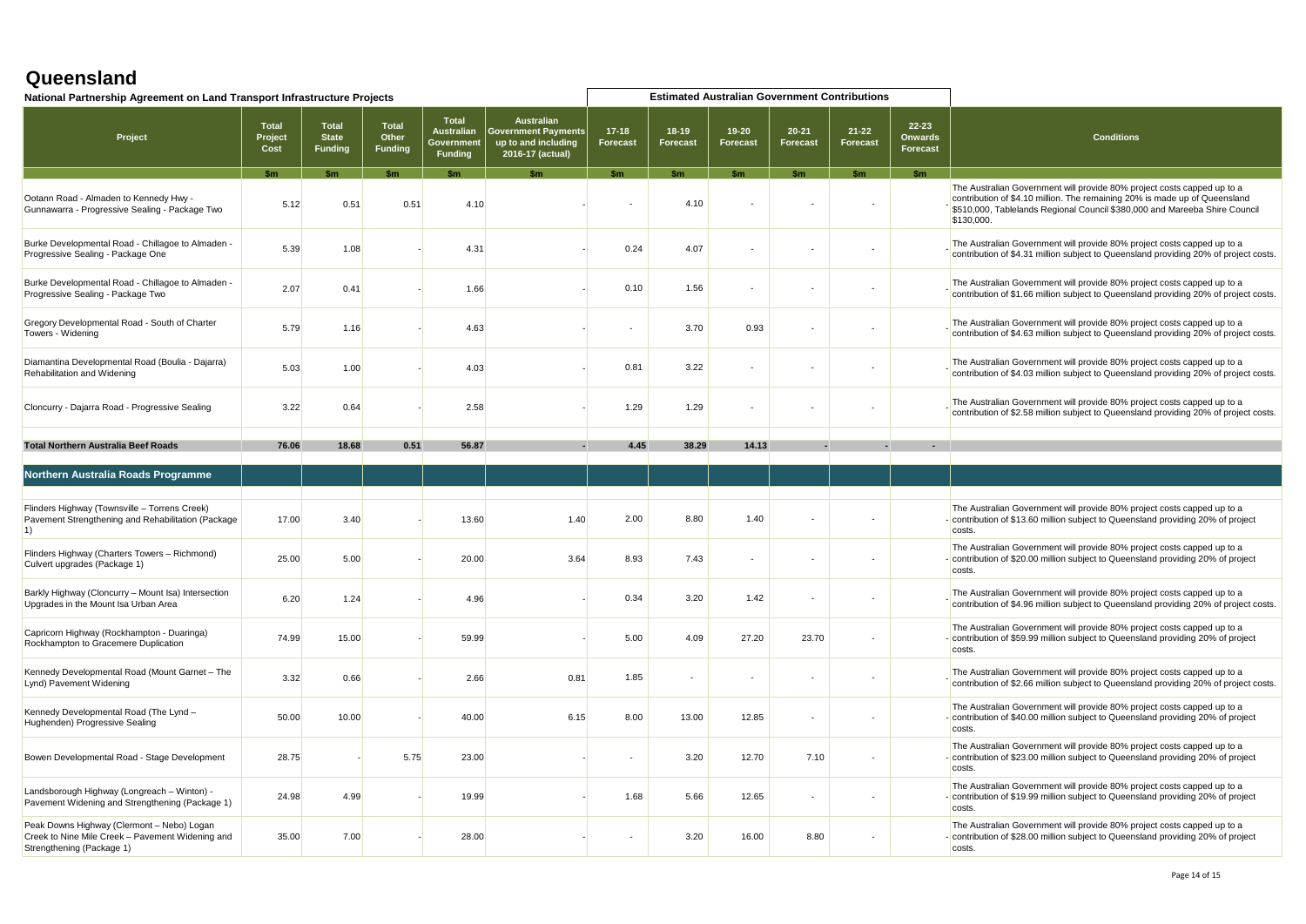| National Partnership Agreement on Land Transport Infrastructure Projects                                                    |                                 |                                                |                           | <b>Estimated Australian Government Contributions</b>              |                                                                                            |                     |                          |                       |                              |                          |                                     |                                                                                                                                                                                                                                                   |
|-----------------------------------------------------------------------------------------------------------------------------|---------------------------------|------------------------------------------------|---------------------------|-------------------------------------------------------------------|--------------------------------------------------------------------------------------------|---------------------|--------------------------|-----------------------|------------------------------|--------------------------|-------------------------------------|---------------------------------------------------------------------------------------------------------------------------------------------------------------------------------------------------------------------------------------------------|
| Project                                                                                                                     | <b>Total</b><br>Project<br>Cost | <b>Total</b><br><b>State</b><br><b>Funding</b> | Total<br>Other<br>Funding | <b>Total</b><br><b>Australian</b><br>Government<br><b>Funding</b> | <b>Australian</b><br><b>Government Payments</b><br>up to and including<br>2016-17 (actual) | $17-18$<br>Forecast | 18-19<br><b>Forecast</b> | $19 - 20$<br>Forecast | $20 - 21$<br><b>Forecast</b> | $21 - 22$<br>Forecast    | 22-23<br><b>Onwards</b><br>Forecast | <b>Conditions</b>                                                                                                                                                                                                                                 |
|                                                                                                                             | <b>Sm</b>                       | \$m                                            | \$m                       | \$m                                                               | \$m                                                                                        | $\mathsf{sm}$       | \$m\$                    | $\mathsf{sm}$         | \$m                          | $\mathsf{sm}$            | <b>Sm</b>                           |                                                                                                                                                                                                                                                   |
| Ootann Road - Almaden to Kennedy Hwy -<br>Gunnawarra - Progressive Sealing - Package Two                                    | 5.12                            | 0.51                                           | 0.51                      | 4.10                                                              |                                                                                            |                     | 4.10                     |                       |                              |                          |                                     | The Australian Government will provide 80% project costs capped up to a<br>contribution of \$4.10 million. The remaining 20% is made up of Queensland<br>\$510,000, Tablelands Regional Council \$380,000 and Mareeba Shire Council<br>\$130,000. |
| Burke Developmental Road - Chillagoe to Almaden -<br>Progressive Sealing - Package One                                      | 5.39                            | 1.08                                           |                           | 4.31                                                              |                                                                                            | 0.24                | 4.07                     | $\sim$                |                              |                          |                                     | The Australian Government will provide 80% project costs capped up to a<br>contribution of \$4.31 million subject to Queensland providing 20% of project costs.                                                                                   |
| Burke Developmental Road - Chillagoe to Almaden -<br>Progressive Sealing - Package Two                                      | 2.07                            | 0.41                                           |                           | 1.66                                                              |                                                                                            | 0.10                | 1.56                     | $\blacksquare$        |                              |                          |                                     | The Australian Government will provide 80% project costs capped up to a<br>contribution of \$1.66 million subject to Queensland providing 20% of project costs.                                                                                   |
| Gregory Developmental Road - South of Charter<br>Towers - Widening                                                          | 5.79                            | 1.16                                           |                           | 4.63                                                              |                                                                                            | $\mathbf{r}$        | 3.70                     | 0.93                  |                              |                          |                                     | The Australian Government will provide 80% project costs capped up to a<br>contribution of \$4.63 million subject to Queensland providing 20% of project costs                                                                                    |
| Diamantina Developmental Road (Boulia - Dajarra)<br>Rehabilitation and Widening                                             | 5.03                            | 1.00                                           |                           | 4.03                                                              |                                                                                            | 0.81                | 3.22                     |                       |                              |                          |                                     | The Australian Government will provide 80% project costs capped up to a<br>contribution of \$4.03 million subject to Queensland providing 20% of project costs.                                                                                   |
| Cloncurry - Dajarra Road - Progressive Sealing                                                                              | 3.22                            | 0.64                                           |                           | 2.58                                                              |                                                                                            | 1.29                | 1.29                     | $\sim$                |                              |                          |                                     | The Australian Government will provide 80% project costs capped up to a<br>contribution of \$2.58 million subject to Queensland providing 20% of project costs.                                                                                   |
|                                                                                                                             | 76.06                           | 18.68                                          | 0.51                      | 56.87                                                             |                                                                                            | 4.45                | 38.29                    | 14.13                 |                              |                          |                                     |                                                                                                                                                                                                                                                   |
| <b>Total Northern Australia Beef Roads</b>                                                                                  |                                 |                                                |                           |                                                                   |                                                                                            |                     |                          |                       |                              |                          |                                     |                                                                                                                                                                                                                                                   |
| Northern Australia Roads Programme                                                                                          |                                 |                                                |                           |                                                                   |                                                                                            |                     |                          |                       |                              |                          |                                     |                                                                                                                                                                                                                                                   |
|                                                                                                                             |                                 |                                                |                           |                                                                   |                                                                                            |                     |                          |                       |                              |                          |                                     |                                                                                                                                                                                                                                                   |
| Flinders Highway (Townsville - Torrens Creek)<br>Pavement Strengthening and Rehabilitation (Package<br>$\vert$ 1)           | 17.00                           | 3.40                                           |                           | 13.60                                                             | 1.40                                                                                       | 2.00                | 8.80                     | 1.40                  |                              |                          |                                     | The Australian Government will provide 80% project costs capped up to a<br>- contribution of \$13.60 million subject to Queensland providing 20% of project<br>costs.                                                                             |
| Flinders Highway (Charters Towers - Richmond)<br>Culvert upgrades (Package 1)                                               | 25.00                           | 5.00                                           |                           | 20.00                                                             | 3.64                                                                                       | 8.93                | 7.43                     | $\sim$                |                              | $\overline{\phantom{a}}$ |                                     | The Australian Government will provide 80% project costs capped up to a<br>- contribution of \$20.00 million subject to Queensland providing 20% of project<br>costs                                                                              |
| Barkly Highway (Cloncurry - Mount Isa) Intersection<br>Upgrades in the Mount Isa Urban Area                                 | 6.20                            | 1.24                                           |                           | 4.96                                                              |                                                                                            | 0.34                | 3.20                     | 1.42                  |                              |                          |                                     | The Australian Government will provide 80% project costs capped up to a<br>contribution of \$4.96 million subject to Queensland providing 20% of project costs.                                                                                   |
| Capricorn Highway (Rockhampton - Duaringa)<br>Rockhampton to Gracemere Duplication                                          | 74.99                           | 15.00                                          |                           | 59.99                                                             |                                                                                            | 5.00                | 4.09                     | 27.20                 | 23.70                        |                          |                                     | The Australian Government will provide 80% project costs capped up to a<br>- contribution of \$59.99 million subject to Queensland providing 20% of project<br>costs.                                                                             |
| Kennedy Developmental Road (Mount Garnet - The<br>Lynd) Pavement Widening                                                   | 3.32                            | 0.66                                           |                           | 2.66                                                              | 0.81                                                                                       | 1.85                | $\blacksquare$           | $\blacksquare$        |                              |                          |                                     | The Australian Government will provide 80% project costs capped up to a<br>contribution of \$2.66 million subject to Queensland providing 20% of project costs.                                                                                   |
| Kennedy Developmental Road (The Lynd -<br>Hughenden) Progressive Sealing                                                    | 50.00                           | 10.00                                          |                           | 40.00                                                             | 6.15                                                                                       | 8.00                | 13.00                    | 12.85                 |                              | $\sim$                   |                                     | The Australian Government will provide 80% project costs capped up to a<br>- contribution of \$40.00 million subject to Queensland providing 20% of project<br>costs.                                                                             |
| Bowen Developmental Road - Stage Development                                                                                | 28.75                           |                                                | 5.75                      | 23.00                                                             |                                                                                            | $\sim$              | 3.20                     | 12.70                 | 7.10                         |                          |                                     | The Australian Government will provide 80% project costs capped up to a<br>- contribution of \$23.00 million subject to Queensland providing 20% of project<br>costs.                                                                             |
| Landsborough Highway (Longreach - Winton) -<br>Pavement Widening and Strengthening (Package 1)                              | 24.98                           | 4.99                                           |                           | 19.99                                                             |                                                                                            | 1.68                | 5.66                     | 12.65                 |                              |                          |                                     | The Australian Government will provide 80% project costs capped up to a<br>- contribution of \$19.99 million subject to Queensland providing 20% of project<br>costs.                                                                             |
| Peak Downs Highway (Clermont - Nebo) Logan<br>Creek to Nine Mile Creek - Pavement Widening and<br>Strengthening (Package 1) | 35.00                           | 7.00                                           |                           | 28.00                                                             |                                                                                            | $\mathbf{r}$        | 3.20                     | 16.00                 | 8.80                         |                          |                                     | The Australian Government will provide 80% project costs capped up to a<br>- contribution of \$28.00 million subject to Queensland providing 20% of project<br>costs.                                                                             |